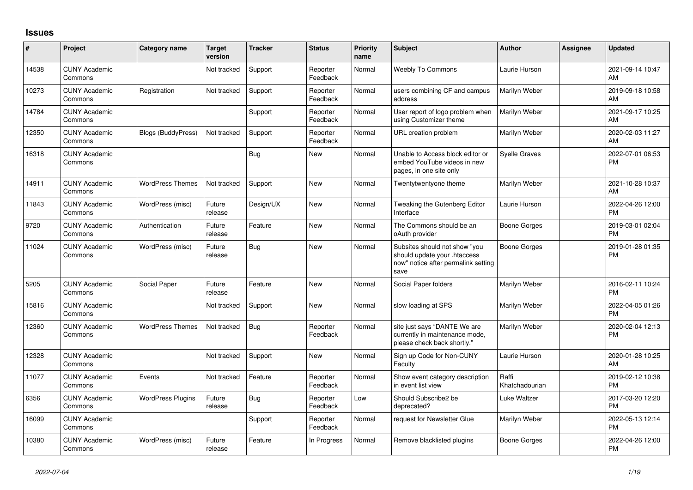## **Issues**

| ∦     | Project                         | Category name             | <b>Target</b><br>version | <b>Tracker</b> | <b>Status</b>        | <b>Priority</b><br>name | <b>Subject</b>                                                                                               | Author                  | <b>Assignee</b> | <b>Updated</b>                |
|-------|---------------------------------|---------------------------|--------------------------|----------------|----------------------|-------------------------|--------------------------------------------------------------------------------------------------------------|-------------------------|-----------------|-------------------------------|
| 14538 | <b>CUNY Academic</b><br>Commons |                           | Not tracked              | Support        | Reporter<br>Feedback | Normal                  | Weebly To Commons                                                                                            | Laurie Hurson           |                 | 2021-09-14 10:47<br>AM        |
| 10273 | <b>CUNY Academic</b><br>Commons | Registration              | Not tracked              | Support        | Reporter<br>Feedback | Normal                  | users combining CF and campus<br>address                                                                     | Marilyn Weber           |                 | 2019-09-18 10:58<br>AM        |
| 14784 | <b>CUNY Academic</b><br>Commons |                           |                          | Support        | Reporter<br>Feedback | Normal                  | User report of logo problem when<br>using Customizer theme                                                   | Marilyn Weber           |                 | 2021-09-17 10:25<br>AM        |
| 12350 | <b>CUNY Academic</b><br>Commons | <b>Blogs (BuddyPress)</b> | Not tracked              | Support        | Reporter<br>Feedback | Normal                  | URL creation problem                                                                                         | Marilyn Weber           |                 | 2020-02-03 11:27<br>AM        |
| 16318 | <b>CUNY Academic</b><br>Commons |                           |                          | Bug            | <b>New</b>           | Normal                  | Unable to Access block editor or<br>embed YouTube videos in new<br>pages, in one site only                   | <b>Syelle Graves</b>    |                 | 2022-07-01 06:53<br><b>PM</b> |
| 14911 | <b>CUNY Academic</b><br>Commons | <b>WordPress Themes</b>   | Not tracked              | Support        | New                  | Normal                  | Twentytwentyone theme                                                                                        | Marilyn Weber           |                 | 2021-10-28 10:37<br>AM        |
| 11843 | <b>CUNY Academic</b><br>Commons | WordPress (misc)          | Future<br>release        | Design/UX      | <b>New</b>           | Normal                  | Tweaking the Gutenberg Editor<br>Interface                                                                   | Laurie Hurson           |                 | 2022-04-26 12:00<br><b>PM</b> |
| 9720  | <b>CUNY Academic</b><br>Commons | Authentication            | Future<br>release        | Feature        | <b>New</b>           | Normal                  | The Commons should be an<br>oAuth provider                                                                   | Boone Gorges            |                 | 2019-03-01 02:04<br><b>PM</b> |
| 11024 | <b>CUNY Academic</b><br>Commons | WordPress (misc)          | Future<br>release        | <b>Bug</b>     | <b>New</b>           | Normal                  | Subsites should not show "you<br>should update your .htaccess<br>now" notice after permalink setting<br>save | <b>Boone Gorges</b>     |                 | 2019-01-28 01:35<br><b>PM</b> |
| 5205  | <b>CUNY Academic</b><br>Commons | Social Paper              | Future<br>release        | Feature        | New                  | Normal                  | Social Paper folders                                                                                         | Marilyn Weber           |                 | 2016-02-11 10:24<br><b>PM</b> |
| 15816 | <b>CUNY Academic</b><br>Commons |                           | Not tracked              | Support        | New                  | Normal                  | slow loading at SPS                                                                                          | Marilyn Weber           |                 | 2022-04-05 01:26<br><b>PM</b> |
| 12360 | <b>CUNY Academic</b><br>Commons | <b>WordPress Themes</b>   | Not tracked              | Bug            | Reporter<br>Feedback | Normal                  | site just says "DANTE We are<br>currently in maintenance mode,<br>please check back shortly."                | Marilyn Weber           |                 | 2020-02-04 12:13<br><b>PM</b> |
| 12328 | <b>CUNY Academic</b><br>Commons |                           | Not tracked              | Support        | <b>New</b>           | Normal                  | Sign up Code for Non-CUNY<br>Faculty                                                                         | Laurie Hurson           |                 | 2020-01-28 10:25<br>AM        |
| 11077 | <b>CUNY Academic</b><br>Commons | Events                    | Not tracked              | Feature        | Reporter<br>Feedback | Normal                  | Show event category description<br>in event list view                                                        | Raffi<br>Khatchadourian |                 | 2019-02-12 10:38<br><b>PM</b> |
| 6356  | <b>CUNY Academic</b><br>Commons | <b>WordPress Plugins</b>  | Future<br>release        | Bug            | Reporter<br>Feedback | Low                     | Should Subscribe2 be<br>deprecated?                                                                          | <b>Luke Waltzer</b>     |                 | 2017-03-20 12:20<br><b>PM</b> |
| 16099 | <b>CUNY Academic</b><br>Commons |                           |                          | Support        | Reporter<br>Feedback | Normal                  | request for Newsletter Glue                                                                                  | Marilyn Weber           |                 | 2022-05-13 12:14<br><b>PM</b> |
| 10380 | <b>CUNY Academic</b><br>Commons | WordPress (misc)          | Future<br>release        | Feature        | In Progress          | Normal                  | Remove blacklisted plugins                                                                                   | <b>Boone Gorges</b>     |                 | 2022-04-26 12:00<br><b>PM</b> |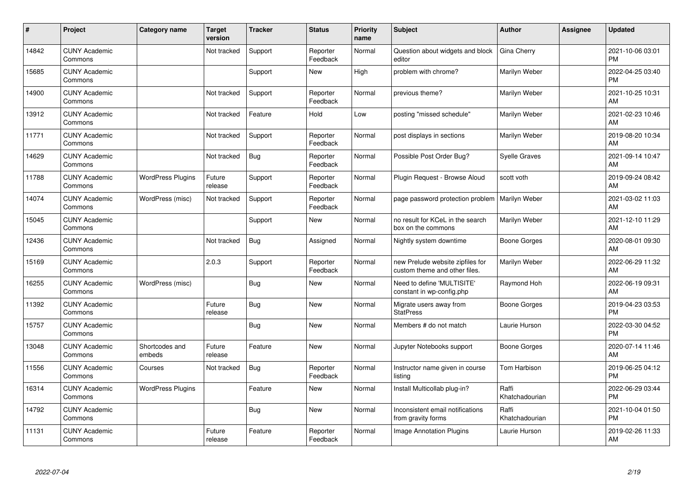| $\#$  | Project                         | <b>Category name</b>     | <b>Target</b><br>version | <b>Tracker</b> | <b>Status</b>        | Priority<br>name | <b>Subject</b>                                                    | <b>Author</b>           | <b>Assignee</b> | <b>Updated</b>                |
|-------|---------------------------------|--------------------------|--------------------------|----------------|----------------------|------------------|-------------------------------------------------------------------|-------------------------|-----------------|-------------------------------|
| 14842 | <b>CUNY Academic</b><br>Commons |                          | Not tracked              | Support        | Reporter<br>Feedback | Normal           | Question about widgets and block<br>editor                        | Gina Cherry             |                 | 2021-10-06 03:01<br><b>PM</b> |
| 15685 | <b>CUNY Academic</b><br>Commons |                          |                          | Support        | <b>New</b>           | High             | problem with chrome?                                              | Marilyn Weber           |                 | 2022-04-25 03:40<br><b>PM</b> |
| 14900 | <b>CUNY Academic</b><br>Commons |                          | Not tracked              | Support        | Reporter<br>Feedback | Normal           | previous theme?                                                   | Marilyn Weber           |                 | 2021-10-25 10:31<br>AM        |
| 13912 | <b>CUNY Academic</b><br>Commons |                          | Not tracked              | Feature        | Hold                 | Low              | posting "missed schedule"                                         | Marilyn Weber           |                 | 2021-02-23 10:46<br>AM        |
| 11771 | <b>CUNY Academic</b><br>Commons |                          | Not tracked              | Support        | Reporter<br>Feedback | Normal           | post displays in sections                                         | Marilyn Weber           |                 | 2019-08-20 10:34<br>AM        |
| 14629 | <b>CUNY Academic</b><br>Commons |                          | Not tracked              | <b>Bug</b>     | Reporter<br>Feedback | Normal           | Possible Post Order Bug?                                          | <b>Syelle Graves</b>    |                 | 2021-09-14 10:47<br>AM        |
| 11788 | <b>CUNY Academic</b><br>Commons | <b>WordPress Plugins</b> | Future<br>release        | Support        | Reporter<br>Feedback | Normal           | Plugin Request - Browse Aloud                                     | scott voth              |                 | 2019-09-24 08:42<br>AM        |
| 14074 | <b>CUNY Academic</b><br>Commons | WordPress (misc)         | Not tracked              | Support        | Reporter<br>Feedback | Normal           | page password protection problem                                  | Marilyn Weber           |                 | 2021-03-02 11:03<br>AM        |
| 15045 | <b>CUNY Academic</b><br>Commons |                          |                          | Support        | New                  | Normal           | no result for KCeL in the search<br>box on the commons            | Marilyn Weber           |                 | 2021-12-10 11:29<br>AM        |
| 12436 | <b>CUNY Academic</b><br>Commons |                          | Not tracked              | <b>Bug</b>     | Assigned             | Normal           | Nightly system downtime                                           | Boone Gorges            |                 | 2020-08-01 09:30<br>AM        |
| 15169 | <b>CUNY Academic</b><br>Commons |                          | 2.0.3                    | Support        | Reporter<br>Feedback | Normal           | new Prelude website zipfiles for<br>custom theme and other files. | Marilyn Weber           |                 | 2022-06-29 11:32<br>AM        |
| 16255 | <b>CUNY Academic</b><br>Commons | WordPress (misc)         |                          | Bug            | New                  | Normal           | Need to define 'MULTISITE'<br>constant in wp-config.php           | Raymond Hoh             |                 | 2022-06-19 09:31<br>AM        |
| 11392 | <b>CUNY Academic</b><br>Commons |                          | Future<br>release        | <b>Bug</b>     | New                  | Normal           | Migrate users away from<br><b>StatPress</b>                       | Boone Gorges            |                 | 2019-04-23 03:53<br><b>PM</b> |
| 15757 | <b>CUNY Academic</b><br>Commons |                          |                          | Bug            | New                  | Normal           | Members # do not match                                            | Laurie Hurson           |                 | 2022-03-30 04:52<br><b>PM</b> |
| 13048 | <b>CUNY Academic</b><br>Commons | Shortcodes and<br>embeds | Future<br>release        | Feature        | New                  | Normal           | Jupyter Notebooks support                                         | Boone Gorges            |                 | 2020-07-14 11:46<br>AM        |
| 11556 | <b>CUNY Academic</b><br>Commons | Courses                  | Not tracked              | <b>Bug</b>     | Reporter<br>Feedback | Normal           | Instructor name given in course<br>listing                        | Tom Harbison            |                 | 2019-06-25 04:12<br><b>PM</b> |
| 16314 | <b>CUNY Academic</b><br>Commons | <b>WordPress Plugins</b> |                          | Feature        | New                  | Normal           | Install Multicollab plug-in?                                      | Raffi<br>Khatchadourian |                 | 2022-06-29 03:44<br><b>PM</b> |
| 14792 | <b>CUNY Academic</b><br>Commons |                          |                          | <b>Bug</b>     | <b>New</b>           | Normal           | Inconsistent email notifications<br>from gravity forms            | Raffi<br>Khatchadourian |                 | 2021-10-04 01:50<br><b>PM</b> |
| 11131 | <b>CUNY Academic</b><br>Commons |                          | Future<br>release        | Feature        | Reporter<br>Feedback | Normal           | Image Annotation Plugins                                          | Laurie Hurson           |                 | 2019-02-26 11:33<br>AM        |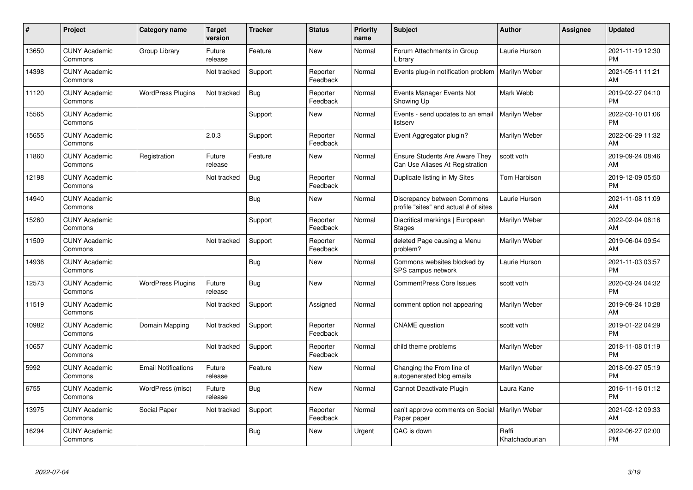| #     | Project                         | <b>Category name</b>       | <b>Target</b><br>version | <b>Tracker</b> | <b>Status</b>        | <b>Priority</b><br>name | <b>Subject</b>                                                           | <b>Author</b>           | <b>Assignee</b> | <b>Updated</b>                |
|-------|---------------------------------|----------------------------|--------------------------|----------------|----------------------|-------------------------|--------------------------------------------------------------------------|-------------------------|-----------------|-------------------------------|
| 13650 | <b>CUNY Academic</b><br>Commons | Group Library              | Future<br>release        | Feature        | <b>New</b>           | Normal                  | Forum Attachments in Group<br>Library                                    | Laurie Hurson           |                 | 2021-11-19 12:30<br><b>PM</b> |
| 14398 | <b>CUNY Academic</b><br>Commons |                            | Not tracked              | Support        | Reporter<br>Feedback | Normal                  | Events plug-in notification problem                                      | Marilyn Weber           |                 | 2021-05-11 11:21<br>AM        |
| 11120 | <b>CUNY Academic</b><br>Commons | <b>WordPress Plugins</b>   | Not tracked              | <b>Bug</b>     | Reporter<br>Feedback | Normal                  | Events Manager Events Not<br>Showing Up                                  | Mark Webb               |                 | 2019-02-27 04:10<br><b>PM</b> |
| 15565 | <b>CUNY Academic</b><br>Commons |                            |                          | Support        | <b>New</b>           | Normal                  | Events - send updates to an email<br>listserv                            | Marilyn Weber           |                 | 2022-03-10 01:06<br><b>PM</b> |
| 15655 | <b>CUNY Academic</b><br>Commons |                            | 2.0.3                    | Support        | Reporter<br>Feedback | Normal                  | Event Aggregator plugin?                                                 | Marilyn Weber           |                 | 2022-06-29 11:32<br>AM        |
| 11860 | <b>CUNY Academic</b><br>Commons | Registration               | Future<br>release        | Feature        | <b>New</b>           | Normal                  | <b>Ensure Students Are Aware They</b><br>Can Use Aliases At Registration | scott voth              |                 | 2019-09-24 08:46<br>AM        |
| 12198 | <b>CUNY Academic</b><br>Commons |                            | Not tracked              | Bug            | Reporter<br>Feedback | Normal                  | Duplicate listing in My Sites                                            | Tom Harbison            |                 | 2019-12-09 05:50<br><b>PM</b> |
| 14940 | <b>CUNY Academic</b><br>Commons |                            |                          | Bug            | New                  | Normal                  | Discrepancy between Commons<br>profile "sites" and actual # of sites     | Laurie Hurson           |                 | 2021-11-08 11:09<br><b>AM</b> |
| 15260 | <b>CUNY Academic</b><br>Commons |                            |                          | Support        | Reporter<br>Feedback | Normal                  | Diacritical markings   European<br><b>Stages</b>                         | Marilyn Weber           |                 | 2022-02-04 08:16<br>AM        |
| 11509 | <b>CUNY Academic</b><br>Commons |                            | Not tracked              | Support        | Reporter<br>Feedback | Normal                  | deleted Page causing a Menu<br>problem?                                  | Marilyn Weber           |                 | 2019-06-04 09:54<br>AM        |
| 14936 | <b>CUNY Academic</b><br>Commons |                            |                          | <b>Bug</b>     | New                  | Normal                  | Commons websites blocked by<br>SPS campus network                        | Laurie Hurson           |                 | 2021-11-03 03:57<br><b>PM</b> |
| 12573 | <b>CUNY Academic</b><br>Commons | <b>WordPress Plugins</b>   | Future<br>release        | Bug            | New                  | Normal                  | CommentPress Core Issues                                                 | scott voth              |                 | 2020-03-24 04:32<br><b>PM</b> |
| 11519 | <b>CUNY Academic</b><br>Commons |                            | Not tracked              | Support        | Assigned             | Normal                  | comment option not appearing                                             | Marilyn Weber           |                 | 2019-09-24 10:28<br><b>AM</b> |
| 10982 | <b>CUNY Academic</b><br>Commons | Domain Mapping             | Not tracked              | Support        | Reporter<br>Feedback | Normal                  | <b>CNAME</b> question                                                    | scott voth              |                 | 2019-01-22 04:29<br><b>PM</b> |
| 10657 | <b>CUNY Academic</b><br>Commons |                            | Not tracked              | Support        | Reporter<br>Feedback | Normal                  | child theme problems                                                     | Marilyn Weber           |                 | 2018-11-08 01:19<br><b>PM</b> |
| 5992  | <b>CUNY Academic</b><br>Commons | <b>Email Notifications</b> | Future<br>release        | Feature        | New                  | Normal                  | Changing the From line of<br>autogenerated blog emails                   | Marilyn Weber           |                 | 2018-09-27 05:19<br><b>PM</b> |
| 6755  | <b>CUNY Academic</b><br>Commons | WordPress (misc)           | Future<br>release        | Bug            | <b>New</b>           | Normal                  | Cannot Deactivate Plugin                                                 | Laura Kane              |                 | 2016-11-16 01:12<br><b>PM</b> |
| 13975 | <b>CUNY Academic</b><br>Commons | Social Paper               | Not tracked              | Support        | Reporter<br>Feedback | Normal                  | can't approve comments on Social<br>Paper paper                          | Marilyn Weber           |                 | 2021-02-12 09:33<br>AM        |
| 16294 | <b>CUNY Academic</b><br>Commons |                            |                          | Bug            | <b>New</b>           | Urgent                  | CAC is down                                                              | Raffi<br>Khatchadourian |                 | 2022-06-27 02:00<br>PM        |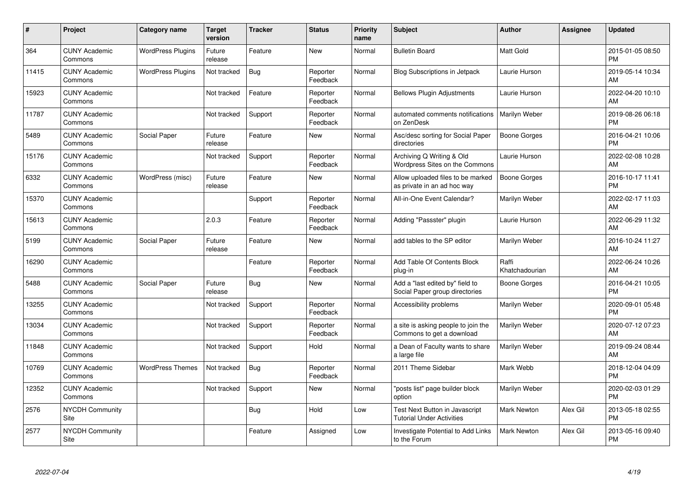| #     | Project                         | <b>Category name</b>     | <b>Target</b><br>version | <b>Tracker</b> | <b>Status</b>        | <b>Priority</b><br>name | <b>Subject</b>                                                     | <b>Author</b>           | <b>Assignee</b> | <b>Updated</b>                |
|-------|---------------------------------|--------------------------|--------------------------|----------------|----------------------|-------------------------|--------------------------------------------------------------------|-------------------------|-----------------|-------------------------------|
| 364   | <b>CUNY Academic</b><br>Commons | <b>WordPress Plugins</b> | Future<br>release        | Feature        | <b>New</b>           | Normal                  | <b>Bulletin Board</b>                                              | <b>Matt Gold</b>        |                 | 2015-01-05 08:50<br><b>PM</b> |
| 11415 | <b>CUNY Academic</b><br>Commons | <b>WordPress Plugins</b> | Not tracked              | Bug            | Reporter<br>Feedback | Normal                  | <b>Blog Subscriptions in Jetpack</b>                               | Laurie Hurson           |                 | 2019-05-14 10:34<br>AM        |
| 15923 | <b>CUNY Academic</b><br>Commons |                          | Not tracked              | Feature        | Reporter<br>Feedback | Normal                  | <b>Bellows Plugin Adjustments</b>                                  | Laurie Hurson           |                 | 2022-04-20 10:10<br>AM        |
| 11787 | <b>CUNY Academic</b><br>Commons |                          | Not tracked              | Support        | Reporter<br>Feedback | Normal                  | automated comments notifications<br>on ZenDesk                     | Marilyn Weber           |                 | 2019-08-26 06:18<br><b>PM</b> |
| 5489  | <b>CUNY Academic</b><br>Commons | Social Paper             | Future<br>release        | Feature        | <b>New</b>           | Normal                  | Asc/desc sorting for Social Paper<br>directories                   | Boone Gorges            |                 | 2016-04-21 10:06<br><b>PM</b> |
| 15176 | <b>CUNY Academic</b><br>Commons |                          | Not tracked              | Support        | Reporter<br>Feedback | Normal                  | Archiving Q Writing & Old<br>Wordpress Sites on the Commons        | Laurie Hurson           |                 | 2022-02-08 10:28<br>AM        |
| 6332  | <b>CUNY Academic</b><br>Commons | WordPress (misc)         | Future<br>release        | Feature        | New                  | Normal                  | Allow uploaded files to be marked<br>as private in an ad hoc way   | Boone Gorges            |                 | 2016-10-17 11:41<br><b>PM</b> |
| 15370 | <b>CUNY Academic</b><br>Commons |                          |                          | Support        | Reporter<br>Feedback | Normal                  | All-in-One Event Calendar?                                         | Marilyn Weber           |                 | 2022-02-17 11:03<br>AM        |
| 15613 | <b>CUNY Academic</b><br>Commons |                          | 2.0.3                    | Feature        | Reporter<br>Feedback | Normal                  | Adding "Passster" plugin                                           | Laurie Hurson           |                 | 2022-06-29 11:32<br>AM        |
| 5199  | <b>CUNY Academic</b><br>Commons | Social Paper             | Future<br>release        | Feature        | New                  | Normal                  | add tables to the SP editor                                        | Marilyn Weber           |                 | 2016-10-24 11:27<br>AM        |
| 16290 | <b>CUNY Academic</b><br>Commons |                          |                          | Feature        | Reporter<br>Feedback | Normal                  | Add Table Of Contents Block<br>plug-in                             | Raffi<br>Khatchadourian |                 | 2022-06-24 10:26<br>AM        |
| 5488  | <b>CUNY Academic</b><br>Commons | Social Paper             | Future<br>release        | Bug            | New                  | Normal                  | Add a "last edited by" field to<br>Social Paper group directories  | Boone Gorges            |                 | 2016-04-21 10:05<br><b>PM</b> |
| 13255 | <b>CUNY Academic</b><br>Commons |                          | Not tracked              | Support        | Reporter<br>Feedback | Normal                  | Accessibility problems                                             | Marilyn Weber           |                 | 2020-09-01 05:48<br><b>PM</b> |
| 13034 | <b>CUNY Academic</b><br>Commons |                          | Not tracked              | Support        | Reporter<br>Feedback | Normal                  | a site is asking people to join the<br>Commons to get a download   | Marilyn Weber           |                 | 2020-07-12 07:23<br>AM        |
| 11848 | <b>CUNY Academic</b><br>Commons |                          | Not tracked              | Support        | Hold                 | Normal                  | a Dean of Faculty wants to share<br>a large file                   | Marilyn Weber           |                 | 2019-09-24 08:44<br>AM        |
| 10769 | <b>CUNY Academic</b><br>Commons | <b>WordPress Themes</b>  | Not tracked              | Bug            | Reporter<br>Feedback | Normal                  | 2011 Theme Sidebar                                                 | Mark Webb               |                 | 2018-12-04 04:09<br><b>PM</b> |
| 12352 | <b>CUNY Academic</b><br>Commons |                          | Not tracked              | Support        | New                  | Normal                  | "posts list" page builder block<br>option                          | Marilyn Weber           |                 | 2020-02-03 01:29<br><b>PM</b> |
| 2576  | <b>NYCDH Community</b><br>Site  |                          |                          | Bug            | Hold                 | Low                     | Test Next Button in Javascript<br><b>Tutorial Under Activities</b> | <b>Mark Newton</b>      | Alex Gil        | 2013-05-18 02:55<br><b>PM</b> |
| 2577  | <b>NYCDH Community</b><br>Site  |                          |                          | Feature        | Assigned             | Low                     | Investigate Potential to Add Links<br>to the Forum                 | <b>Mark Newton</b>      | Alex Gil        | 2013-05-16 09:40<br><b>PM</b> |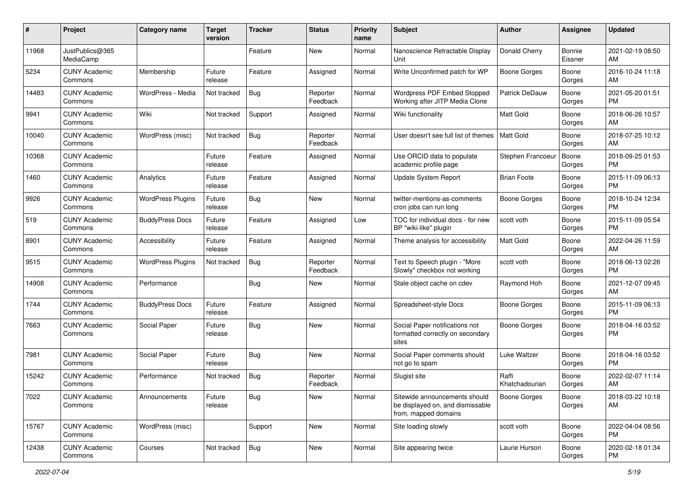| #     | Project                         | <b>Category name</b>     | Target<br>version | <b>Tracker</b> | <b>Status</b>        | <b>Priority</b><br>name | <b>Subject</b>                                                                            | <b>Author</b>           | Assignee          | Updated                       |
|-------|---------------------------------|--------------------------|-------------------|----------------|----------------------|-------------------------|-------------------------------------------------------------------------------------------|-------------------------|-------------------|-------------------------------|
| 11968 | JustPublics@365<br>MediaCamp    |                          |                   | Feature        | <b>New</b>           | Normal                  | Nanoscience Retractable Display<br>Unit                                                   | Donald Cherry           | Bonnie<br>Eissner | 2021-02-19 08:50<br>AM        |
| 5234  | <b>CUNY Academic</b><br>Commons | Membership               | Future<br>release | Feature        | Assigned             | Normal                  | Write Unconfirmed patch for WP                                                            | <b>Boone Gorges</b>     | Boone<br>Gorges   | 2016-10-24 11:18<br>AM        |
| 14483 | <b>CUNY Academic</b><br>Commons | WordPress - Media        | Not tracked       | Bug            | Reporter<br>Feedback | Normal                  | Wordpress PDF Embed Stopped<br>Working after JITP Media Clone                             | Patrick DeDauw          | Boone<br>Gorges   | 2021-05-20 01:51<br><b>PM</b> |
| 9941  | <b>CUNY Academic</b><br>Commons | Wiki                     | Not tracked       | Support        | Assigned             | Normal                  | Wiki functionality                                                                        | <b>Matt Gold</b>        | Boone<br>Gorges   | 2018-06-26 10:57<br>AM        |
| 10040 | <b>CUNY Academic</b><br>Commons | WordPress (misc)         | Not tracked       | Bug            | Reporter<br>Feedback | Normal                  | User doesn't see full list of themes                                                      | Matt Gold               | Boone<br>Gorges   | 2018-07-25 10:12<br>AM        |
| 10368 | <b>CUNY Academic</b><br>Commons |                          | Future<br>release | Feature        | Assigned             | Normal                  | Use ORCID data to populate<br>academic profile page                                       | Stephen Francoeur       | Boone<br>Gorges   | 2018-09-25 01:53<br><b>PM</b> |
| 1460  | <b>CUNY Academic</b><br>Commons | Analytics                | Future<br>release | Feature        | Assigned             | Normal                  | <b>Update System Report</b>                                                               | <b>Brian Foote</b>      | Boone<br>Gorges   | 2015-11-09 06:13<br><b>PM</b> |
| 9926  | <b>CUNY Academic</b><br>Commons | <b>WordPress Plugins</b> | Future<br>release | Bug            | New                  | Normal                  | twitter-mentions-as-comments<br>cron jobs can run long                                    | Boone Gorges            | Boone<br>Gorges   | 2018-10-24 12:34<br>PM.       |
| 519   | <b>CUNY Academic</b><br>Commons | <b>BuddyPress Docs</b>   | Future<br>release | Feature        | Assigned             | Low                     | TOC for individual docs - for new<br>BP "wiki-like" plugin                                | scott voth              | Boone<br>Gorges   | 2015-11-09 05:54<br><b>PM</b> |
| 8901  | <b>CUNY Academic</b><br>Commons | Accessibility            | Future<br>release | Feature        | Assigned             | Normal                  | Theme analysis for accessibility                                                          | <b>Matt Gold</b>        | Boone<br>Gorges   | 2022-04-26 11:59<br>AM        |
| 9515  | <b>CUNY Academic</b><br>Commons | <b>WordPress Plugins</b> | Not tracked       | Bug            | Reporter<br>Feedback | Normal                  | Text to Speech plugin - "More<br>Slowly" checkbox not working                             | scott voth              | Boone<br>Gorges   | 2018-06-13 02:26<br><b>PM</b> |
| 14908 | <b>CUNY Academic</b><br>Commons | Performance              |                   | Bug            | New                  | Normal                  | Stale object cache on cdev                                                                | Raymond Hoh             | Boone<br>Gorges   | 2021-12-07 09:45<br>AM        |
| 1744  | <b>CUNY Academic</b><br>Commons | <b>BuddyPress Docs</b>   | Future<br>release | Feature        | Assigned             | Normal                  | Spreadsheet-style Docs                                                                    | Boone Gorges            | Boone<br>Gorges   | 2015-11-09 06:13<br><b>PM</b> |
| 7663  | <b>CUNY Academic</b><br>Commons | Social Paper             | Future<br>release | Bug            | New                  | Normal                  | Social Paper notifications not<br>formatted correctly on secondary<br>sites               | <b>Boone Gorges</b>     | Boone<br>Gorges   | 2018-04-16 03:52<br><b>PM</b> |
| 7981  | <b>CUNY Academic</b><br>Commons | Social Paper             | Future<br>release | Bug            | <b>New</b>           | Normal                  | Social Paper comments should<br>not go to spam                                            | Luke Waltzer            | Boone<br>Gorges   | 2018-04-16 03:52<br><b>PM</b> |
| 15242 | <b>CUNY Academic</b><br>Commons | Performance              | Not tracked       | <b>Bug</b>     | Reporter<br>Feedback | Normal                  | Slugist site                                                                              | Raffi<br>Khatchadourian | Boone<br>Gorges   | 2022-02-07 11:14<br>AM        |
| 7022  | <b>CUNY Academic</b><br>Commons | Announcements            | Future<br>release | Bug            | New                  | Normal                  | Sitewide announcements should<br>be displayed on, and dismissable<br>from, mapped domains | Boone Gorges            | Boone<br>Gorges   | 2018-03-22 10:18<br>AM        |
| 15767 | <b>CUNY Academic</b><br>Commons | WordPress (misc)         |                   | Support        | New                  | Normal                  | Site loading slowly                                                                       | scott voth              | Boone<br>Gorges   | 2022-04-04 08:56<br><b>PM</b> |
| 12438 | <b>CUNY Academic</b><br>Commons | Courses                  | Not tracked       | Bug            | New                  | Normal                  | Site appearing twice                                                                      | Laurie Hurson           | Boone<br>Gorges   | 2020-02-18 01:34<br>PM        |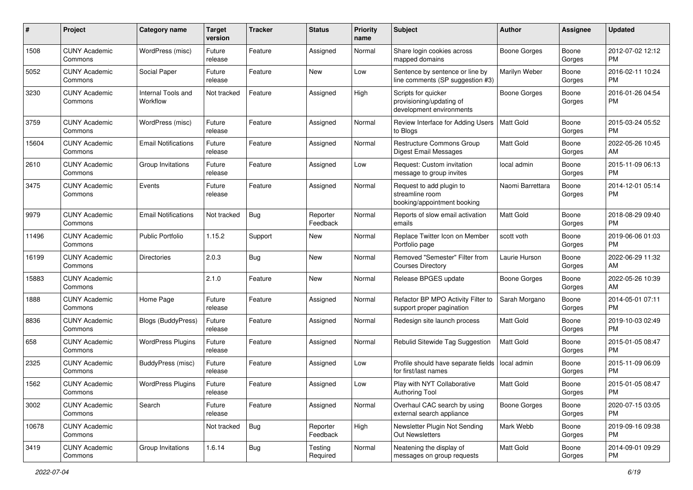| #     | Project                         | <b>Category name</b>           | <b>Target</b><br>version | <b>Tracker</b> | <b>Status</b>        | <b>Priority</b><br>name | <b>Subject</b>                                                              | <b>Author</b>       | <b>Assignee</b> | <b>Updated</b>                |
|-------|---------------------------------|--------------------------------|--------------------------|----------------|----------------------|-------------------------|-----------------------------------------------------------------------------|---------------------|-----------------|-------------------------------|
| 1508  | <b>CUNY Academic</b><br>Commons | WordPress (misc)               | Future<br>release        | Feature        | Assigned             | Normal                  | Share login cookies across<br>mapped domains                                | <b>Boone Gorges</b> | Boone<br>Gorges | 2012-07-02 12:12<br><b>PM</b> |
| 5052  | <b>CUNY Academic</b><br>Commons | Social Paper                   | Future<br>release        | Feature        | New                  | Low                     | Sentence by sentence or line by<br>line comments (SP suggestion #3)         | Marilyn Weber       | Boone<br>Gorges | 2016-02-11 10:24<br><b>PM</b> |
| 3230  | <b>CUNY Academic</b><br>Commons | Internal Tools and<br>Workflow | Not tracked              | Feature        | Assigned             | High                    | Scripts for quicker<br>provisioning/updating of<br>development environments | Boone Gorges        | Boone<br>Gorges | 2016-01-26 04:54<br><b>PM</b> |
| 3759  | <b>CUNY Academic</b><br>Commons | WordPress (misc)               | Future<br>release        | Feature        | Assigned             | Normal                  | Review Interface for Adding Users<br>to Blogs                               | <b>Matt Gold</b>    | Boone<br>Gorges | 2015-03-24 05:52<br>PM.       |
| 15604 | <b>CUNY Academic</b><br>Commons | <b>Email Notifications</b>     | Future<br>release        | Feature        | Assigned             | Normal                  | <b>Restructure Commons Group</b><br>Digest Email Messages                   | Matt Gold           | Boone<br>Gorges | 2022-05-26 10:45<br>AM        |
| 2610  | <b>CUNY Academic</b><br>Commons | Group Invitations              | Future<br>release        | Feature        | Assigned             | Low                     | Request: Custom invitation<br>message to group invites                      | local admin         | Boone<br>Gorges | 2015-11-09 06:13<br><b>PM</b> |
| 3475  | <b>CUNY Academic</b><br>Commons | Events                         | Future<br>release        | Feature        | Assigned             | Normal                  | Request to add plugin to<br>streamline room<br>booking/appointment booking  | Naomi Barrettara    | Boone<br>Gorges | 2014-12-01 05:14<br>PM.       |
| 9979  | <b>CUNY Academic</b><br>Commons | <b>Email Notifications</b>     | Not tracked              | Bug            | Reporter<br>Feedback | Normal                  | Reports of slow email activation<br>emails                                  | Matt Gold           | Boone<br>Gorges | 2018-08-29 09:40<br>PM.       |
| 11496 | <b>CUNY Academic</b><br>Commons | <b>Public Portfolio</b>        | 1.15.2                   | Support        | New                  | Normal                  | Replace Twitter Icon on Member<br>Portfolio page                            | scott voth          | Boone<br>Gorges | 2019-06-06 01:03<br>PM.       |
| 16199 | <b>CUNY Academic</b><br>Commons | <b>Directories</b>             | 2.0.3                    | Bug            | New                  | Normal                  | Removed "Semester" Filter from<br><b>Courses Directory</b>                  | Laurie Hurson       | Boone<br>Gorges | 2022-06-29 11:32<br>AM.       |
| 15883 | <b>CUNY Academic</b><br>Commons |                                | 2.1.0                    | Feature        | New                  | Normal                  | Release BPGES update                                                        | Boone Gorges        | Boone<br>Gorges | 2022-05-26 10:39<br>AM        |
| 1888  | <b>CUNY Academic</b><br>Commons | Home Page                      | Future<br>release        | Feature        | Assigned             | Normal                  | Refactor BP MPO Activity Filter to<br>support proper pagination             | Sarah Morgano       | Boone<br>Gorges | 2014-05-01 07:11<br>PM.       |
| 8836  | <b>CUNY Academic</b><br>Commons | Blogs (BuddyPress)             | Future<br>release        | Feature        | Assigned             | Normal                  | Redesign site launch process                                                | Matt Gold           | Boone<br>Gorges | 2019-10-03 02:49<br>PM.       |
| 658   | <b>CUNY Academic</b><br>Commons | <b>WordPress Plugins</b>       | Future<br>release        | Feature        | Assigned             | Normal                  | Rebulid Sitewide Tag Suggestion                                             | Matt Gold           | Boone<br>Gorges | 2015-01-05 08:47<br><b>PM</b> |
| 2325  | <b>CUNY Academic</b><br>Commons | BuddyPress (misc)              | Future<br>release        | Feature        | Assigned             | Low                     | Profile should have separate fields<br>for first/last names                 | local admin         | Boone<br>Gorges | 2015-11-09 06:09<br><b>PM</b> |
| 1562  | <b>CUNY Academic</b><br>Commons | <b>WordPress Plugins</b>       | Future<br>release        | Feature        | Assigned             | Low                     | Play with NYT Collaborative<br>Authoring Tool                               | Matt Gold           | Boone<br>Gorges | 2015-01-05 08:47<br>PM        |
| 3002  | <b>CUNY Academic</b><br>Commons | Search                         | Future<br>release        | Feature        | Assigned             | Normal                  | Overhaul CAC search by using<br>external search appliance                   | Boone Gorges        | Boone<br>Gorges | 2020-07-15 03:05<br>PM.       |
| 10678 | <b>CUNY Academic</b><br>Commons |                                | Not tracked              | Bug            | Reporter<br>Feedback | High                    | Newsletter Plugin Not Sending<br>Out Newsletters                            | Mark Webb           | Boone<br>Gorges | 2019-09-16 09:38<br><b>PM</b> |
| 3419  | <b>CUNY Academic</b><br>Commons | Group Invitations              | 1.6.14                   | <b>Bug</b>     | Testing<br>Required  | Normal                  | Neatening the display of<br>messages on group requests                      | Matt Gold           | Boone<br>Gorges | 2014-09-01 09:29<br><b>PM</b> |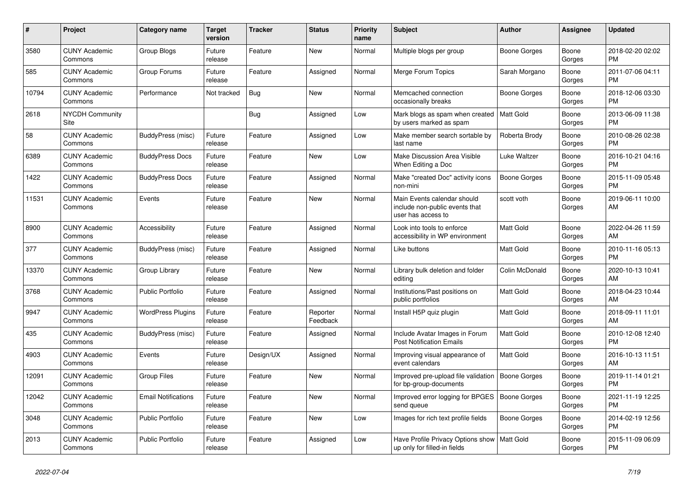| #     | Project                         | <b>Category name</b>       | Target<br>version | <b>Tracker</b> | <b>Status</b>        | Priority<br>name | <b>Subject</b>                                                                      | <b>Author</b>       | <b>Assignee</b> | <b>Updated</b>                |
|-------|---------------------------------|----------------------------|-------------------|----------------|----------------------|------------------|-------------------------------------------------------------------------------------|---------------------|-----------------|-------------------------------|
| 3580  | <b>CUNY Academic</b><br>Commons | Group Blogs                | Future<br>release | Feature        | New                  | Normal           | Multiple blogs per group                                                            | Boone Gorges        | Boone<br>Gorges | 2018-02-20 02:02<br>PM.       |
| 585   | <b>CUNY Academic</b><br>Commons | Group Forums               | Future<br>release | Feature        | Assigned             | Normal           | Merge Forum Topics                                                                  | Sarah Morgano       | Boone<br>Gorges | 2011-07-06 04:11<br><b>PM</b> |
| 10794 | <b>CUNY Academic</b><br>Commons | Performance                | Not tracked       | <b>Bug</b>     | <b>New</b>           | Normal           | Memcached connection<br>occasionally breaks                                         | Boone Gorges        | Boone<br>Gorges | 2018-12-06 03:30<br><b>PM</b> |
| 2618  | <b>NYCDH Community</b><br>Site  |                            |                   | Bug            | Assigned             | Low              | Mark blogs as spam when created<br>by users marked as spam                          | l Matt Gold         | Boone<br>Gorges | 2013-06-09 11:38<br><b>PM</b> |
| 58    | <b>CUNY Academic</b><br>Commons | BuddyPress (misc)          | Future<br>release | Feature        | Assigned             | Low              | Make member search sortable by<br>last name                                         | Roberta Brody       | Boone<br>Gorges | 2010-08-26 02:38<br><b>PM</b> |
| 6389  | <b>CUNY Academic</b><br>Commons | <b>BuddyPress Docs</b>     | Future<br>release | Feature        | New                  | Low              | Make Discussion Area Visible<br>When Editing a Doc                                  | Luke Waltzer        | Boone<br>Gorges | 2016-10-21 04:16<br><b>PM</b> |
| 1422  | <b>CUNY Academic</b><br>Commons | <b>BuddyPress Docs</b>     | Future<br>release | Feature        | Assigned             | Normal           | Make "created Doc" activity icons<br>non-mini                                       | Boone Gorges        | Boone<br>Gorges | 2015-11-09 05:48<br><b>PM</b> |
| 11531 | <b>CUNY Academic</b><br>Commons | Events                     | Future<br>release | Feature        | <b>New</b>           | Normal           | Main Events calendar should<br>include non-public events that<br>user has access to | scott voth          | Boone<br>Gorges | 2019-06-11 10:00<br>AM        |
| 8900  | <b>CUNY Academic</b><br>Commons | Accessibility              | Future<br>release | Feature        | Assigned             | Normal           | Look into tools to enforce<br>accessibility in WP environment                       | Matt Gold           | Boone<br>Gorges | 2022-04-26 11:59<br>AM        |
| 377   | <b>CUNY Academic</b><br>Commons | BuddyPress (misc)          | Future<br>release | Feature        | Assigned             | Normal           | Like buttons                                                                        | Matt Gold           | Boone<br>Gorges | 2010-11-16 05:13<br><b>PM</b> |
| 13370 | <b>CUNY Academic</b><br>Commons | Group Library              | Future<br>release | Feature        | New                  | Normal           | Library bulk deletion and folder<br>editing                                         | Colin McDonald      | Boone<br>Gorges | 2020-10-13 10:41<br>AM        |
| 3768  | <b>CUNY Academic</b><br>Commons | <b>Public Portfolio</b>    | Future<br>release | Feature        | Assigned             | Normal           | Institutions/Past positions on<br>public portfolios                                 | Matt Gold           | Boone<br>Gorges | 2018-04-23 10:44<br>AM.       |
| 9947  | <b>CUNY Academic</b><br>Commons | <b>WordPress Plugins</b>   | Future<br>release | Feature        | Reporter<br>Feedback | Normal           | Install H5P quiz plugin                                                             | <b>Matt Gold</b>    | Boone<br>Gorges | 2018-09-11 11:01<br>AM        |
| 435   | <b>CUNY Academic</b><br>Commons | BuddyPress (misc)          | Future<br>release | Feature        | Assigned             | Normal           | Include Avatar Images in Forum<br><b>Post Notification Emails</b>                   | Matt Gold           | Boone<br>Gorges | 2010-12-08 12:40<br><b>PM</b> |
| 4903  | <b>CUNY Academic</b><br>Commons | Events                     | Future<br>release | Design/UX      | Assigned             | Normal           | Improving visual appearance of<br>event calendars                                   | Matt Gold           | Boone<br>Gorges | 2016-10-13 11:51<br>AM.       |
| 12091 | <b>CUNY Academic</b><br>Commons | <b>Group Files</b>         | Future<br>release | Feature        | New                  | Normal           | Improved pre-upload file validation<br>for bp-group-documents                       | Boone Gorges        | Boone<br>Gorges | 2019-11-14 01:21<br><b>PM</b> |
| 12042 | <b>CUNY Academic</b><br>Commons | <b>Email Notifications</b> | Future<br>release | Feature        | <b>New</b>           | Normal           | Improved error logging for BPGES<br>send queue                                      | <b>Boone Gorges</b> | Boone<br>Gorges | 2021-11-19 12:25<br><b>PM</b> |
| 3048  | <b>CUNY Academic</b><br>Commons | <b>Public Portfolio</b>    | Future<br>release | Feature        | New                  | Low              | Images for rich text profile fields                                                 | Boone Gorges        | Boone<br>Gorges | 2014-02-19 12:56<br><b>PM</b> |
| 2013  | <b>CUNY Academic</b><br>Commons | Public Portfolio           | Future<br>release | Feature        | Assigned             | Low              | Have Profile Privacy Options show<br>up only for filled-in fields                   | Matt Gold           | Boone<br>Gorges | 2015-11-09 06:09<br><b>PM</b> |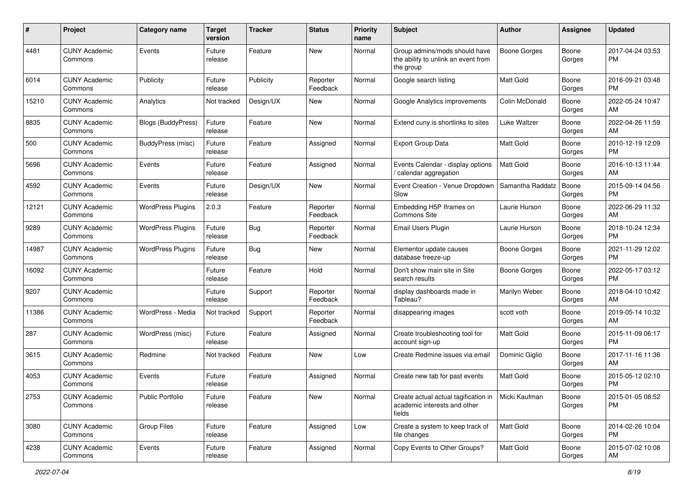| #     | Project                         | <b>Category name</b>     | <b>Target</b><br>version | <b>Tracker</b> | <b>Status</b>        | <b>Priority</b><br>name | <b>Subject</b>                                                                    | <b>Author</b>       | <b>Assignee</b> | <b>Updated</b>                |
|-------|---------------------------------|--------------------------|--------------------------|----------------|----------------------|-------------------------|-----------------------------------------------------------------------------------|---------------------|-----------------|-------------------------------|
| 4481  | <b>CUNY Academic</b><br>Commons | Events                   | Future<br>release        | Feature        | New                  | Normal                  | Group admins/mods should have<br>the ability to unlink an event from<br>the group | <b>Boone Gorges</b> | Boone<br>Gorges | 2017-04-24 03:53<br>PM.       |
| 6014  | <b>CUNY Academic</b><br>Commons | Publicity                | Future<br>release        | Publicity      | Reporter<br>Feedback | Normal                  | Google search listing                                                             | Matt Gold           | Boone<br>Gorges | 2016-09-21 03:48<br>PM.       |
| 15210 | <b>CUNY Academic</b><br>Commons | Analytics                | Not tracked              | Design/UX      | New                  | Normal                  | Google Analytics improvements                                                     | Colin McDonald      | Boone<br>Gorges | 2022-05-24 10:47<br>AM        |
| 8835  | <b>CUNY Academic</b><br>Commons | Blogs (BuddyPress)       | Future<br>release        | Feature        | New                  | Normal                  | Extend cuny is shortlinks to sites                                                | Luke Waltzer        | Boone<br>Gorges | 2022-04-26 11:59<br>AM        |
| 500   | <b>CUNY Academic</b><br>Commons | <b>BuddyPress (misc)</b> | Future<br>release        | Feature        | Assigned             | Normal                  | <b>Export Group Data</b>                                                          | Matt Gold           | Boone<br>Gorges | 2010-12-19 12:09<br><b>PM</b> |
| 5696  | <b>CUNY Academic</b><br>Commons | Events                   | Future<br>release        | Feature        | Assigned             | Normal                  | Events Calendar - display options<br>/ calendar aggregation                       | Matt Gold           | Boone<br>Gorges | 2016-10-13 11:44<br>AM        |
| 4592  | <b>CUNY Academic</b><br>Commons | Events                   | Future<br>release        | Design/UX      | New                  | Normal                  | Event Creation - Venue Dropdown<br>Slow                                           | Samantha Raddatz    | Boone<br>Gorges | 2015-09-14 04:56<br><b>PM</b> |
| 12121 | <b>CUNY Academic</b><br>Commons | <b>WordPress Plugins</b> | 2.0.3                    | Feature        | Reporter<br>Feedback | Normal                  | Embedding H5P Iframes on<br><b>Commons Site</b>                                   | Laurie Hurson       | Boone<br>Gorges | 2022-06-29 11:32<br>AM        |
| 9289  | <b>CUNY Academic</b><br>Commons | <b>WordPress Plugins</b> | Future<br>release        | Bug            | Reporter<br>Feedback | Normal                  | Email Users Plugin                                                                | Laurie Hurson       | Boone<br>Gorges | 2018-10-24 12:34<br><b>PM</b> |
| 14987 | <b>CUNY Academic</b><br>Commons | <b>WordPress Plugins</b> | Future<br>release        | Bug            | New                  | Normal                  | Elementor update causes<br>database freeze-up                                     | Boone Gorges        | Boone<br>Gorges | 2021-11-29 12:02<br><b>PM</b> |
| 16092 | <b>CUNY Academic</b><br>Commons |                          | Future<br>release        | Feature        | Hold                 | Normal                  | Don't show main site in Site<br>search results                                    | Boone Gorges        | Boone<br>Gorges | 2022-05-17 03:12<br><b>PM</b> |
| 9207  | <b>CUNY Academic</b><br>Commons |                          | Future<br>release        | Support        | Reporter<br>Feedback | Normal                  | display dashboards made in<br>Tableau?                                            | Marilyn Weber       | Boone<br>Gorges | 2018-04-10 10:42<br>AM        |
| 11386 | <b>CUNY Academic</b><br>Commons | WordPress - Media        | Not tracked              | Support        | Reporter<br>Feedback | Normal                  | disappearing images                                                               | scott voth          | Boone<br>Gorges | 2019-05-14 10:32<br>AM        |
| 287   | <b>CUNY Academic</b><br>Commons | WordPress (misc)         | Future<br>release        | Feature        | Assigned             | Normal                  | Create troubleshooting tool for<br>account sign-up                                | <b>Matt Gold</b>    | Boone<br>Gorges | 2015-11-09 06:17<br><b>PM</b> |
| 3615  | <b>CUNY Academic</b><br>Commons | Redmine                  | Not tracked              | Feature        | New                  | Low                     | Create Redmine issues via email                                                   | Dominic Giglio      | Boone<br>Gorges | 2017-11-16 11:36<br>AM        |
| 4053  | <b>CUNY Academic</b><br>Commons | Events                   | Future<br>release        | Feature        | Assigned             | Normal                  | Create new tab for past events                                                    | <b>Matt Gold</b>    | Boone<br>Gorges | 2015-05-12 02:10<br>PM        |
| 2753  | <b>CUNY Academic</b><br>Commons | Public Portfolio         | Future<br>release        | Feature        | New                  | Normal                  | Create actual actual tagification in<br>academic interests and other<br>fields    | Micki Kaufman       | Boone<br>Gorges | 2015-01-05 08:52<br><b>PM</b> |
| 3080  | <b>CUNY Academic</b><br>Commons | <b>Group Files</b>       | Future<br>release        | Feature        | Assigned             | Low                     | Create a system to keep track of<br>file changes                                  | Matt Gold           | Boone<br>Gorges | 2014-02-26 10:04<br><b>PM</b> |
| 4238  | <b>CUNY Academic</b><br>Commons | Events                   | Future<br>release        | Feature        | Assigned             | Normal                  | Copy Events to Other Groups?                                                      | Matt Gold           | Boone<br>Gorges | 2015-07-02 10:08<br>AM        |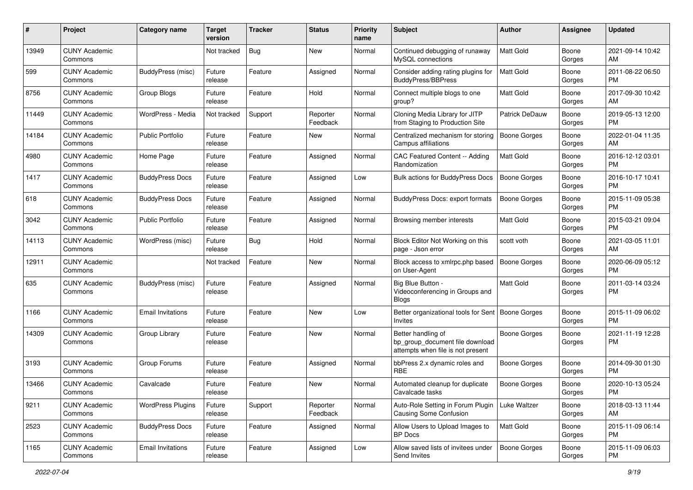| #     | Project                         | <b>Category name</b>     | <b>Target</b><br>version | <b>Tracker</b> | <b>Status</b>        | <b>Priority</b><br>name | <b>Subject</b>                                                                             | <b>Author</b>       | <b>Assignee</b> | <b>Updated</b>                |
|-------|---------------------------------|--------------------------|--------------------------|----------------|----------------------|-------------------------|--------------------------------------------------------------------------------------------|---------------------|-----------------|-------------------------------|
| 13949 | <b>CUNY Academic</b><br>Commons |                          | Not tracked              | Bug            | New                  | Normal                  | Continued debugging of runaway<br>MySQL connections                                        | <b>Matt Gold</b>    | Boone<br>Gorges | 2021-09-14 10:42<br>AM.       |
| 599   | <b>CUNY Academic</b><br>Commons | <b>BuddyPress</b> (misc) | Future<br>release        | Feature        | Assigned             | Normal                  | Consider adding rating plugins for<br><b>BuddyPress/BBPress</b>                            | <b>Matt Gold</b>    | Boone<br>Gorges | 2011-08-22 06:50<br><b>PM</b> |
| 8756  | <b>CUNY Academic</b><br>Commons | Group Blogs              | Future<br>release        | Feature        | Hold                 | Normal                  | Connect multiple blogs to one<br>group?                                                    | Matt Gold           | Boone<br>Gorges | 2017-09-30 10:42<br>AM        |
| 11449 | <b>CUNY Academic</b><br>Commons | WordPress - Media        | Not tracked              | Support        | Reporter<br>Feedback | Normal                  | Cloning Media Library for JITP<br>from Staging to Production Site                          | Patrick DeDauw      | Boone<br>Gorges | 2019-05-13 12:00<br>PM.       |
| 14184 | <b>CUNY Academic</b><br>Commons | <b>Public Portfolio</b>  | Future<br>release        | Feature        | New                  | Normal                  | Centralized mechanism for storing<br>Campus affiliations                                   | <b>Boone Gorges</b> | Boone<br>Gorges | 2022-01-04 11:35<br>AM        |
| 4980  | <b>CUNY Academic</b><br>Commons | Home Page                | Future<br>release        | Feature        | Assigned             | Normal                  | CAC Featured Content -- Adding<br>Randomization                                            | <b>Matt Gold</b>    | Boone<br>Gorges | 2016-12-12 03:01<br><b>PM</b> |
| 1417  | <b>CUNY Academic</b><br>Commons | <b>BuddyPress Docs</b>   | Future<br>release        | Feature        | Assigned             | Low                     | Bulk actions for BuddyPress Docs                                                           | <b>Boone Gorges</b> | Boone<br>Gorges | 2016-10-17 10:41<br><b>PM</b> |
| 618   | <b>CUNY Academic</b><br>Commons | <b>BuddyPress Docs</b>   | Future<br>release        | Feature        | Assigned             | Normal                  | <b>BuddyPress Docs: export formats</b>                                                     | <b>Boone Gorges</b> | Boone<br>Gorges | 2015-11-09 05:38<br>PM        |
| 3042  | <b>CUNY Academic</b><br>Commons | Public Portfolio         | Future<br>release        | Feature        | Assigned             | Normal                  | Browsing member interests                                                                  | Matt Gold           | Boone<br>Gorges | 2015-03-21 09:04<br><b>PM</b> |
| 14113 | <b>CUNY Academic</b><br>Commons | WordPress (misc)         | Future<br>release        | Bug            | Hold                 | Normal                  | Block Editor Not Working on this<br>page - Json error                                      | scott voth          | Boone<br>Gorges | 2021-03-05 11:01<br>AM        |
| 12911 | <b>CUNY Academic</b><br>Commons |                          | Not tracked              | Feature        | New                  | Normal                  | Block access to xmlrpc.php based<br>on User-Agent                                          | Boone Gorges        | Boone<br>Gorges | 2020-06-09 05:12<br>PM.       |
| 635   | <b>CUNY Academic</b><br>Commons | BuddyPress (misc)        | Future<br>release        | Feature        | Assigned             | Normal                  | Big Blue Button -<br>Videoconferencing in Groups and<br><b>Blogs</b>                       | Matt Gold           | Boone<br>Gorges | 2011-03-14 03:24<br><b>PM</b> |
| 1166  | <b>CUNY Academic</b><br>Commons | <b>Email Invitations</b> | Future<br>release        | Feature        | New                  | Low                     | Better organizational tools for Sent<br>Invites                                            | Boone Gorges        | Boone<br>Gorges | 2015-11-09 06:02<br>PM.       |
| 14309 | <b>CUNY Academic</b><br>Commons | Group Library            | Future<br>release        | Feature        | New                  | Normal                  | Better handling of<br>bp group document file download<br>attempts when file is not present | Boone Gorges        | Boone<br>Gorges | 2021-11-19 12:28<br><b>PM</b> |
| 3193  | <b>CUNY Academic</b><br>Commons | Group Forums             | Future<br>release        | Feature        | Assigned             | Normal                  | bbPress 2.x dynamic roles and<br><b>RBE</b>                                                | Boone Gorges        | Boone<br>Gorges | 2014-09-30 01:30<br><b>PM</b> |
| 13466 | <b>CUNY Academic</b><br>Commons | Cavalcade                | Future<br>release        | Feature        | New                  | Normal                  | Automated cleanup for duplicate<br>Cavalcade tasks                                         | <b>Boone Gorges</b> | Boone<br>Gorges | 2020-10-13 05:24<br>PM        |
| 9211  | <b>CUNY Academic</b><br>Commons | <b>WordPress Plugins</b> | Future<br>release        | Support        | Reporter<br>Feedback | Normal                  | Auto-Role Setting in Forum Plugin<br>Causing Some Confusion                                | Luke Waltzer        | Boone<br>Gorges | 2018-03-13 11:44<br>AM        |
| 2523  | <b>CUNY Academic</b><br>Commons | <b>BuddyPress Docs</b>   | Future<br>release        | Feature        | Assigned             | Normal                  | Allow Users to Upload Images to<br>BP Docs                                                 | <b>Matt Gold</b>    | Boone<br>Gorges | 2015-11-09 06:14<br><b>PM</b> |
| 1165  | <b>CUNY Academic</b><br>Commons | <b>Email Invitations</b> | Future<br>release        | Feature        | Assigned             | Low                     | Allow saved lists of invitees under<br>Send Invites                                        | <b>Boone Gorges</b> | Boone<br>Gorges | 2015-11-09 06:03<br><b>PM</b> |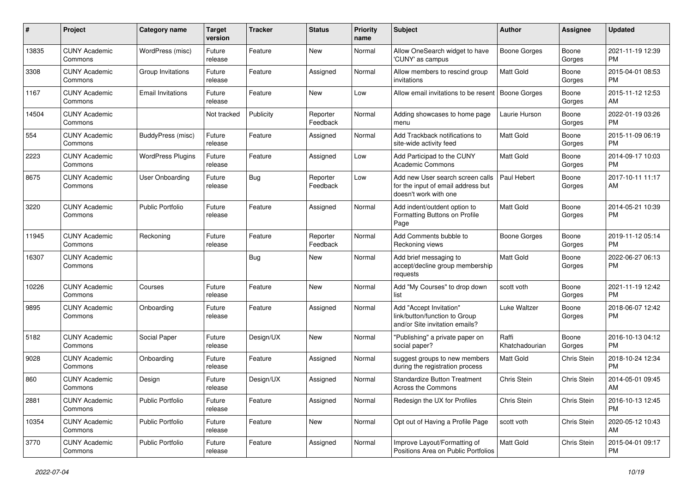| #     | Project                         | <b>Category name</b>     | <b>Target</b><br>version | <b>Tracker</b> | <b>Status</b>        | Priority<br>name | <b>Subject</b>                                                                                  | Author                  | <b>Assignee</b> | <b>Updated</b>                |
|-------|---------------------------------|--------------------------|--------------------------|----------------|----------------------|------------------|-------------------------------------------------------------------------------------------------|-------------------------|-----------------|-------------------------------|
| 13835 | <b>CUNY Academic</b><br>Commons | WordPress (misc)         | Future<br>release        | Feature        | <b>New</b>           | Normal           | Allow OneSearch widget to have<br>'CUNY' as campus                                              | <b>Boone Gorges</b>     | Boone<br>Gorges | 2021-11-19 12:39<br>PM.       |
| 3308  | <b>CUNY Academic</b><br>Commons | Group Invitations        | Future<br>release        | Feature        | Assigned             | Normal           | Allow members to rescind group<br>invitations                                                   | Matt Gold               | Boone<br>Gorges | 2015-04-01 08:53<br><b>PM</b> |
| 1167  | <b>CUNY Academic</b><br>Commons | <b>Email Invitations</b> | Future<br>release        | Feature        | New                  | Low              | Allow email invitations to be resent                                                            | <b>Boone Gorges</b>     | Boone<br>Gorges | 2015-11-12 12:53<br>AM        |
| 14504 | <b>CUNY Academic</b><br>Commons |                          | Not tracked              | Publicity      | Reporter<br>Feedback | Normal           | Adding showcases to home page<br>menu                                                           | Laurie Hurson           | Boone<br>Gorges | 2022-01-19 03:26<br><b>PM</b> |
| 554   | <b>CUNY Academic</b><br>Commons | <b>BuddyPress (misc)</b> | Future<br>release        | Feature        | Assigned             | Normal           | Add Trackback notifications to<br>site-wide activity feed                                       | <b>Matt Gold</b>        | Boone<br>Gorges | 2015-11-09 06:19<br><b>PM</b> |
| 2223  | <b>CUNY Academic</b><br>Commons | <b>WordPress Plugins</b> | Future<br>release        | Feature        | Assigned             | Low              | Add Participad to the CUNY<br><b>Academic Commons</b>                                           | <b>Matt Gold</b>        | Boone<br>Gorges | 2014-09-17 10:03<br><b>PM</b> |
| 8675  | <b>CUNY Academic</b><br>Commons | User Onboarding          | Future<br>release        | Bug            | Reporter<br>Feedback | Low              | Add new User search screen calls<br>for the input of email address but<br>doesn't work with one | Paul Hebert             | Boone<br>Gorges | 2017-10-11 11:17<br>AM        |
| 3220  | <b>CUNY Academic</b><br>Commons | <b>Public Portfolio</b>  | Future<br>release        | Feature        | Assigned             | Normal           | Add indent/outdent option to<br>Formatting Buttons on Profile<br>Page                           | Matt Gold               | Boone<br>Gorges | 2014-05-21 10:39<br><b>PM</b> |
| 11945 | <b>CUNY Academic</b><br>Commons | Reckoning                | Future<br>release        | Feature        | Reporter<br>Feedback | Normal           | Add Comments bubble to<br>Reckoning views                                                       | <b>Boone Gorges</b>     | Boone<br>Gorges | 2019-11-12 05:14<br><b>PM</b> |
| 16307 | <b>CUNY Academic</b><br>Commons |                          |                          | Bug            | New                  | Normal           | Add brief messaging to<br>accept/decline group membership<br>requests                           | <b>Matt Gold</b>        | Boone<br>Gorges | 2022-06-27 06:13<br>PM        |
| 10226 | <b>CUNY Academic</b><br>Commons | Courses                  | Future<br>release        | Feature        | <b>New</b>           | Normal           | Add "My Courses" to drop down<br>list                                                           | scott voth              | Boone<br>Gorges | 2021-11-19 12:42<br>PM.       |
| 9895  | <b>CUNY Academic</b><br>Commons | Onboarding               | Future<br>release        | Feature        | Assigned             | Normal           | Add "Accept Invitation"<br>link/button/function to Group<br>and/or Site invitation emails?      | Luke Waltzer            | Boone<br>Gorges | 2018-06-07 12:42<br><b>PM</b> |
| 5182  | <b>CUNY Academic</b><br>Commons | Social Paper             | Future<br>release        | Design/UX      | <b>New</b>           | Normal           | "Publishing" a private paper on<br>social paper?                                                | Raffi<br>Khatchadourian | Boone<br>Gorges | 2016-10-13 04:12<br><b>PM</b> |
| 9028  | <b>CUNY Academic</b><br>Commons | Onboarding               | Future<br>release        | Feature        | Assigned             | Normal           | suggest groups to new members<br>during the registration process                                | Matt Gold               | Chris Stein     | 2018-10-24 12:34<br><b>PM</b> |
| 860   | <b>CUNY Academic</b><br>Commons | Design                   | Future<br>release        | Design/UX      | Assigned             | Normal           | <b>Standardize Button Treatment</b><br>Across the Commons                                       | Chris Stein             | Chris Stein     | 2014-05-01 09:45<br>AM        |
| 2881  | <b>CUNY Academic</b><br>Commons | Public Portfolio         | Future<br>release        | Feature        | Assigned             | Normal           | Redesign the UX for Profiles                                                                    | Chris Stein             | Chris Stein     | 2016-10-13 12:45<br><b>PM</b> |
| 10354 | <b>CUNY Academic</b><br>Commons | <b>Public Portfolio</b>  | Future<br>release        | Feature        | New                  | Normal           | Opt out of Having a Profile Page                                                                | scott voth              | Chris Stein     | 2020-05-12 10:43<br>AM        |
| 3770  | <b>CUNY Academic</b><br>Commons | Public Portfolio         | Future<br>release        | Feature        | Assigned             | Normal           | Improve Layout/Formatting of<br>Positions Area on Public Portfolios                             | Matt Gold               | Chris Stein     | 2015-04-01 09:17<br><b>PM</b> |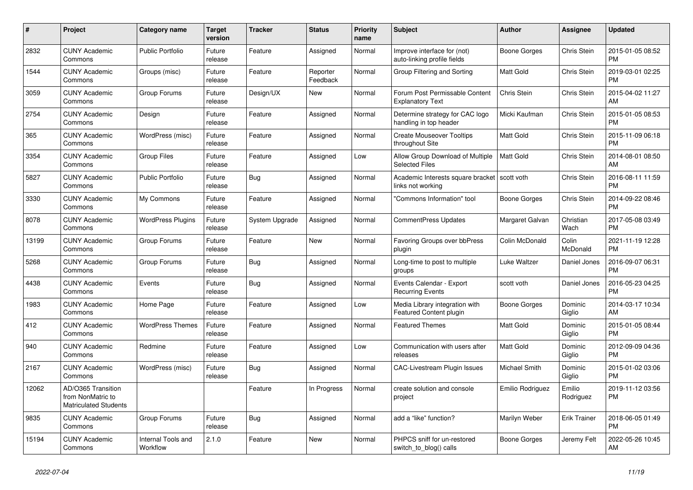| #     | Project                                                                 | <b>Category name</b>           | <b>Target</b><br>version | <b>Tracker</b> | <b>Status</b>        | Priority<br>name | <b>Subject</b>                                             | Author              | Assignee            | <b>Updated</b>                |
|-------|-------------------------------------------------------------------------|--------------------------------|--------------------------|----------------|----------------------|------------------|------------------------------------------------------------|---------------------|---------------------|-------------------------------|
| 2832  | <b>CUNY Academic</b><br>Commons                                         | <b>Public Portfolio</b>        | Future<br>release        | Feature        | Assigned             | Normal           | Improve interface for (not)<br>auto-linking profile fields | Boone Gorges        | Chris Stein         | 2015-01-05 08:52<br><b>PM</b> |
| 1544  | <b>CUNY Academic</b><br>Commons                                         | Groups (misc)                  | Future<br>release        | Feature        | Reporter<br>Feedback | Normal           | Group Filtering and Sorting                                | <b>Matt Gold</b>    | Chris Stein         | 2019-03-01 02:25<br><b>PM</b> |
| 3059  | <b>CUNY Academic</b><br>Commons                                         | Group Forums                   | Future<br>release        | Design/UX      | New                  | Normal           | Forum Post Permissable Content<br><b>Explanatory Text</b>  | Chris Stein         | Chris Stein         | 2015-04-02 11:27<br>AM        |
| 2754  | <b>CUNY Academic</b><br>Commons                                         | Design                         | Future<br>release        | Feature        | Assigned             | Normal           | Determine strategy for CAC logo<br>handling in top header  | Micki Kaufman       | Chris Stein         | 2015-01-05 08:53<br><b>PM</b> |
| 365   | <b>CUNY Academic</b><br>Commons                                         | WordPress (misc)               | Future<br>release        | Feature        | Assigned             | Normal           | <b>Create Mouseover Tooltips</b><br>throughout Site        | <b>Matt Gold</b>    | Chris Stein         | 2015-11-09 06:18<br><b>PM</b> |
| 3354  | <b>CUNY Academic</b><br>Commons                                         | <b>Group Files</b>             | Future<br>release        | Feature        | Assigned             | Low              | Allow Group Download of Multiple<br><b>Selected Files</b>  | <b>Matt Gold</b>    | Chris Stein         | 2014-08-01 08:50<br>AM        |
| 5827  | <b>CUNY Academic</b><br>Commons                                         | <b>Public Portfolio</b>        | Future<br>release        | Bug            | Assigned             | Normal           | Academic Interests square bracket<br>links not working     | scott voth          | Chris Stein         | 2016-08-11 11:59<br><b>PM</b> |
| 3330  | <b>CUNY Academic</b><br>Commons                                         | My Commons                     | Future<br>release        | Feature        | Assigned             | Normal           | "Commons Information" tool                                 | <b>Boone Gorges</b> | Chris Stein         | 2014-09-22 08:46<br><b>PM</b> |
| 8078  | <b>CUNY Academic</b><br>Commons                                         | <b>WordPress Plugins</b>       | Future<br>release        | System Upgrade | Assigned             | Normal           | CommentPress Updates                                       | Margaret Galvan     | Christian<br>Wach   | 2017-05-08 03:49<br><b>PM</b> |
| 13199 | <b>CUNY Academic</b><br>Commons                                         | Group Forums                   | Future<br>release        | Feature        | New                  | Normal           | Favoring Groups over bbPress<br>plugin                     | Colin McDonald      | Colin<br>McDonald   | 2021-11-19 12:28<br><b>PM</b> |
| 5268  | <b>CUNY Academic</b><br>Commons                                         | Group Forums                   | Future<br>release        | Bug            | Assigned             | Normal           | Long-time to post to multiple<br>groups                    | Luke Waltzer        | Daniel Jones        | 2016-09-07 06:31<br><b>PM</b> |
| 4438  | <b>CUNY Academic</b><br>Commons                                         | Events                         | Future<br>release        | Bug            | Assigned             | Normal           | Events Calendar - Export<br><b>Recurring Events</b>        | scott voth          | Daniel Jones        | 2016-05-23 04:25<br><b>PM</b> |
| 1983  | <b>CUNY Academic</b><br>Commons                                         | Home Page                      | Future<br>release        | Feature        | Assigned             | Low              | Media Library integration with<br>Featured Content plugin  | <b>Boone Gorges</b> | Dominic<br>Giglio   | 2014-03-17 10:34<br>AM        |
| 412   | <b>CUNY Academic</b><br>Commons                                         | <b>WordPress Themes</b>        | Future<br>release        | Feature        | Assigned             | Normal           | <b>Featured Themes</b>                                     | Matt Gold           | Dominic<br>Giglio   | 2015-01-05 08:44<br><b>PM</b> |
| 940   | <b>CUNY Academic</b><br>Commons                                         | Redmine                        | Future<br>release        | Feature        | Assigned             | Low              | Communication with users after<br>releases                 | <b>Matt Gold</b>    | Dominic<br>Giglio   | 2012-09-09 04:36<br><b>PM</b> |
| 2167  | <b>CUNY Academic</b><br>Commons                                         | WordPress (misc)               | Future<br>release        | Bug            | Assigned             | Normal           | <b>CAC-Livestream Plugin Issues</b>                        | Michael Smith       | Dominic<br>Giglio   | 2015-01-02 03:06<br><b>PM</b> |
| 12062 | AD/O365 Transition<br>from NonMatric to<br><b>Matriculated Students</b> |                                |                          | Feature        | In Progress          | Normal           | create solution and console<br>project                     | Emilio Rodriguez    | Emilio<br>Rodriguez | 2019-11-12 03:56<br><b>PM</b> |
| 9835  | <b>CUNY Academic</b><br>Commons                                         | Group Forums                   | Future<br>release        | <b>Bug</b>     | Assigned             | Normal           | add a "like" function?                                     | Marilyn Weber       | <b>Erik Trainer</b> | 2018-06-05 01:49<br><b>PM</b> |
| 15194 | <b>CUNY Academic</b><br>Commons                                         | Internal Tools and<br>Workflow | 2.1.0                    | Feature        | New                  | Normal           | PHPCS sniff for un-restored<br>switch_to_blog() calls      | Boone Gorges        | Jeremy Felt         | 2022-05-26 10:45<br>AM        |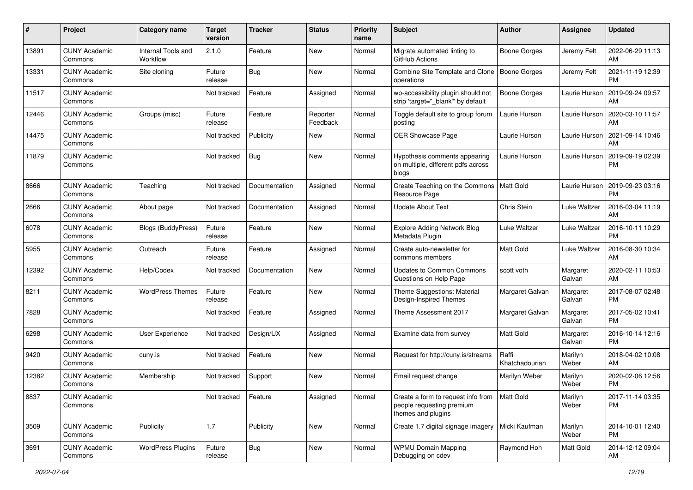| #     | Project                         | <b>Category name</b>           | <b>Target</b><br>version | <b>Tracker</b> | <b>Status</b>        | <b>Priority</b><br>name | <b>Subject</b>                                                                        | Author                  | Assignee           | <b>Updated</b>                |
|-------|---------------------------------|--------------------------------|--------------------------|----------------|----------------------|-------------------------|---------------------------------------------------------------------------------------|-------------------------|--------------------|-------------------------------|
| 13891 | <b>CUNY Academic</b><br>Commons | Internal Tools and<br>Workflow | 2.1.0                    | Feature        | New                  | Normal                  | Migrate automated linting to<br>GitHub Actions                                        | Boone Gorges            | Jeremy Felt        | 2022-06-29 11:13<br>AM        |
| 13331 | <b>CUNY Academic</b><br>Commons | Site cloning                   | Future<br>release        | Bug            | New                  | Normal                  | Combine Site Template and Clone<br>operations                                         | Boone Gorges            | Jeremy Felt        | 2021-11-19 12:39<br><b>PM</b> |
| 11517 | <b>CUNY Academic</b><br>Commons |                                | Not tracked              | Feature        | Assigned             | Normal                  | wp-accessibility plugin should not<br>strip 'target="_blank"' by default              | Boone Gorges            | Laurie Hurson      | 2019-09-24 09:57<br>AM        |
| 12446 | <b>CUNY Academic</b><br>Commons | Groups (misc)                  | Future<br>release        | Feature        | Reporter<br>Feedback | Normal                  | Toggle default site to group forum<br>posting                                         | Laurie Hurson           | Laurie Hurson      | 2020-03-10 11:57<br>AM        |
| 14475 | <b>CUNY Academic</b><br>Commons |                                | Not tracked              | Publicity      | New                  | Normal                  | OER Showcase Page                                                                     | Laurie Hurson           | Laurie Hurson      | 2021-09-14 10:46<br>AM        |
| 11879 | <b>CUNY Academic</b><br>Commons |                                | Not tracked              | <b>Bug</b>     | New                  | Normal                  | Hypothesis comments appearing<br>on multiple, different pdfs across<br>blogs          | Laurie Hurson           | Laurie Hurson      | 2019-09-19 02:39<br><b>PM</b> |
| 8666  | <b>CUNY Academic</b><br>Commons | Teaching                       | Not tracked              | Documentation  | Assigned             | Normal                  | Create Teaching on the Commons<br>Resource Page                                       | Matt Gold               | Laurie Hurson      | 2019-09-23 03:16<br><b>PM</b> |
| 2666  | <b>CUNY Academic</b><br>Commons | About page                     | Not tracked              | Documentation  | Assigned             | Normal                  | <b>Update About Text</b>                                                              | Chris Stein             | Luke Waltzer       | 2016-03-04 11:19<br>AM        |
| 6078  | <b>CUNY Academic</b><br>Commons | Blogs (BuddyPress)             | Future<br>release        | Feature        | New                  | Normal                  | <b>Explore Adding Network Blog</b><br>Metadata Plugin                                 | Luke Waltzer            | Luke Waltzer       | 2016-10-11 10:29<br><b>PM</b> |
| 5955  | <b>CUNY Academic</b><br>Commons | Outreach                       | Future<br>release        | Feature        | Assigned             | Normal                  | Create auto-newsletter for<br>commons members                                         | <b>Matt Gold</b>        | Luke Waltzer       | 2016-08-30 10:34<br>AM        |
| 12392 | <b>CUNY Academic</b><br>Commons | Help/Codex                     | Not tracked              | Documentation  | New                  | Normal                  | <b>Updates to Common Commons</b><br>Questions on Help Page                            | scott voth              | Margaret<br>Galvan | 2020-02-11 10:53<br>AM        |
| 8211  | <b>CUNY Academic</b><br>Commons | <b>WordPress Themes</b>        | Future<br>release        | Feature        | New                  | Normal                  | Theme Suggestions: Material<br>Design-Inspired Themes                                 | Margaret Galvan         | Margaret<br>Galvan | 2017-08-07 02:48<br><b>PM</b> |
| 7828  | <b>CUNY Academic</b><br>Commons |                                | Not tracked              | Feature        | Assigned             | Normal                  | Theme Assessment 2017                                                                 | Margaret Galvan         | Margaret<br>Galvan | 2017-05-02 10:41<br><b>PM</b> |
| 6298  | <b>CUNY Academic</b><br>Commons | User Experience                | Not tracked              | Design/UX      | Assigned             | Normal                  | Examine data from survey                                                              | <b>Matt Gold</b>        | Margaret<br>Galvan | 2016-10-14 12:16<br><b>PM</b> |
| 9420  | <b>CUNY Academic</b><br>Commons | cuny.is                        | Not tracked              | Feature        | New                  | Normal                  | Request for http://cuny.is/streams                                                    | Raffi<br>Khatchadourian | Marilyn<br>Weber   | 2018-04-02 10:08<br>AM        |
| 12382 | <b>CUNY Academic</b><br>Commons | Membership                     | Not tracked              | Support        | New                  | Normal                  | Email request change                                                                  | Marilyn Weber           | Marilyn<br>Weber   | 2020-02-06 12:56<br><b>PM</b> |
| 8837  | <b>CUNY Academic</b><br>Commons |                                | Not tracked              | Feature        | Assigned             | Normal                  | Create a form to request info from<br>people requesting premium<br>themes and plugins | Matt Gold               | Marilyn<br>Weber   | 2017-11-14 03:35<br><b>PM</b> |
| 3509  | <b>CUNY Academic</b><br>Commons | Publicity                      | 1.7                      | Publicity      | New                  | Normal                  | Create 1.7 digital signage imagery                                                    | Micki Kaufman           | Marilyn<br>Weber   | 2014-10-01 12:40<br><b>PM</b> |
| 3691  | <b>CUNY Academic</b><br>Commons | <b>WordPress Plugins</b>       | Future<br>release        | <b>Bug</b>     | New                  | Normal                  | <b>WPMU Domain Mapping</b><br>Debugging on cdev                                       | Raymond Hoh             | Matt Gold          | 2014-12-12 09:04<br>AM        |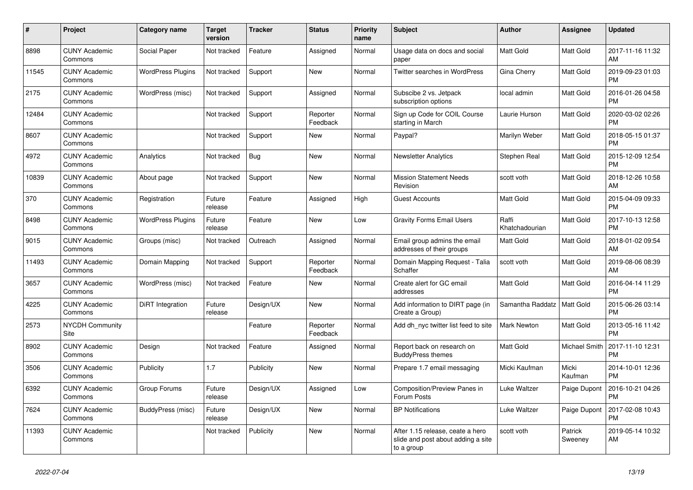| #     | <b>Project</b>                  | Category name            | <b>Target</b><br>version | <b>Tracker</b> | <b>Status</b>        | Priority<br>name | <b>Subject</b>                                                                       | <b>Author</b>           | Assignee           | <b>Updated</b>                |
|-------|---------------------------------|--------------------------|--------------------------|----------------|----------------------|------------------|--------------------------------------------------------------------------------------|-------------------------|--------------------|-------------------------------|
| 8898  | <b>CUNY Academic</b><br>Commons | Social Paper             | Not tracked              | Feature        | Assigned             | Normal           | Usage data on docs and social<br>paper                                               | <b>Matt Gold</b>        | Matt Gold          | 2017-11-16 11:32<br>AM        |
| 11545 | <b>CUNY Academic</b><br>Commons | <b>WordPress Plugins</b> | Not tracked              | Support        | New                  | Normal           | Twitter searches in WordPress                                                        | Gina Cherry             | Matt Gold          | 2019-09-23 01:03<br><b>PM</b> |
| 2175  | <b>CUNY Academic</b><br>Commons | WordPress (misc)         | Not tracked              | Support        | Assigned             | Normal           | Subscibe 2 vs. Jetpack<br>subscription options                                       | local admin             | Matt Gold          | 2016-01-26 04:58<br><b>PM</b> |
| 12484 | <b>CUNY Academic</b><br>Commons |                          | Not tracked              | Support        | Reporter<br>Feedback | Normal           | Sign up Code for COIL Course<br>starting in March                                    | Laurie Hurson           | Matt Gold          | 2020-03-02 02:26<br><b>PM</b> |
| 8607  | <b>CUNY Academic</b><br>Commons |                          | Not tracked              | Support        | New                  | Normal           | Paypal?                                                                              | Marilyn Weber           | Matt Gold          | 2018-05-15 01:37<br><b>PM</b> |
| 4972  | <b>CUNY Academic</b><br>Commons | Analytics                | Not tracked              | Bug            | New                  | Normal           | <b>Newsletter Analytics</b>                                                          | Stephen Real            | Matt Gold          | 2015-12-09 12:54<br><b>PM</b> |
| 10839 | <b>CUNY Academic</b><br>Commons | About page               | Not tracked              | Support        | <b>New</b>           | Normal           | <b>Mission Statement Needs</b><br>Revision                                           | scott voth              | Matt Gold          | 2018-12-26 10:58<br>AM        |
| 370   | <b>CUNY Academic</b><br>Commons | Registration             | Future<br>release        | Feature        | Assigned             | High             | <b>Guest Accounts</b>                                                                | <b>Matt Gold</b>        | Matt Gold          | 2015-04-09 09:33<br><b>PM</b> |
| 8498  | <b>CUNY Academic</b><br>Commons | <b>WordPress Plugins</b> | Future<br>release        | Feature        | New                  | Low              | <b>Gravity Forms Email Users</b>                                                     | Raffi<br>Khatchadourian | Matt Gold          | 2017-10-13 12:58<br><b>PM</b> |
| 9015  | <b>CUNY Academic</b><br>Commons | Groups (misc)            | Not tracked              | Outreach       | Assigned             | Normal           | Email group admins the email<br>addresses of their groups                            | <b>Matt Gold</b>        | Matt Gold          | 2018-01-02 09:54<br>AM        |
| 11493 | <b>CUNY Academic</b><br>Commons | Domain Mapping           | Not tracked              | Support        | Reporter<br>Feedback | Normal           | Domain Mapping Request - Talia<br>Schaffer                                           | scott voth              | Matt Gold          | 2019-08-06 08:39<br>AM        |
| 3657  | <b>CUNY Academic</b><br>Commons | WordPress (misc)         | Not tracked              | Feature        | New                  | Normal           | Create alert for GC email<br>addresses                                               | <b>Matt Gold</b>        | Matt Gold          | 2016-04-14 11:29<br><b>PM</b> |
| 4225  | <b>CUNY Academic</b><br>Commons | DiRT Integration         | Future<br>release        | Design/UX      | New                  | Normal           | Add information to DIRT page (in<br>Create a Group)                                  | Samantha Raddatz        | Matt Gold          | 2015-06-26 03:14<br><b>PM</b> |
| 2573  | <b>NYCDH Community</b><br>Site  |                          |                          | Feature        | Reporter<br>Feedback | Normal           | Add dh_nyc twitter list feed to site                                                 | <b>Mark Newton</b>      | Matt Gold          | 2013-05-16 11:42<br><b>PM</b> |
| 8902  | <b>CUNY Academic</b><br>Commons | Design                   | Not tracked              | Feature        | Assigned             | Normal           | Report back on research on<br><b>BuddyPress themes</b>                               | <b>Matt Gold</b>        | Michael Smith      | 2017-11-10 12:31<br><b>PM</b> |
| 3506  | <b>CUNY Academic</b><br>Commons | Publicity                | 1.7                      | Publicity      | New                  | Normal           | Prepare 1.7 email messaging                                                          | Micki Kaufman           | Micki<br>Kaufman   | 2014-10-01 12:36<br><b>PM</b> |
| 6392  | <b>CUNY Academic</b><br>Commons | Group Forums             | Future<br>release        | Design/UX      | Assigned             | Low              | Composition/Preview Panes in<br>Forum Posts                                          | Luke Waltzer            | Paige Dupont       | 2016-10-21 04:26<br><b>PM</b> |
| 7624  | <b>CUNY Academic</b><br>Commons | <b>BuddyPress (misc)</b> | Future<br>release        | Design/UX      | <b>New</b>           | Normal           | <b>BP Notifications</b>                                                              | Luke Waltzer            | Paige Dupont       | 2017-02-08 10:43<br><b>PM</b> |
| 11393 | <b>CUNY Academic</b><br>Commons |                          | Not tracked              | Publicity      | <b>New</b>           | Normal           | After 1.15 release, ceate a hero<br>slide and post about adding a site<br>to a group | scott voth              | Patrick<br>Sweeney | 2019-05-14 10:32<br>AM        |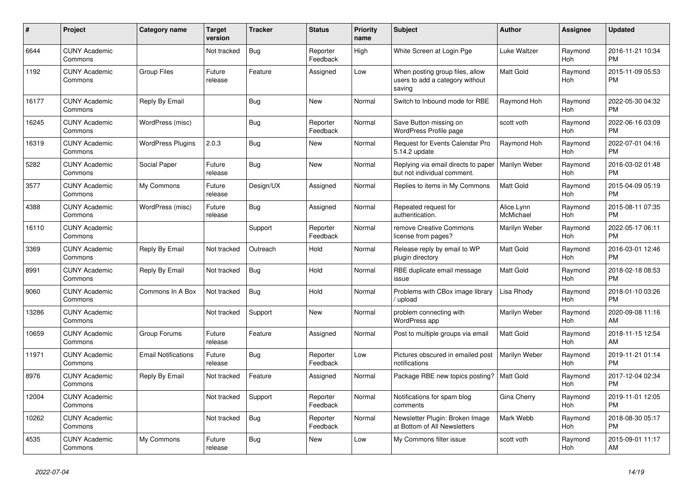| #     | <b>Project</b>                  | Category name              | <b>Target</b><br>version | <b>Tracker</b> | <b>Status</b>        | Priority<br>name | <b>Subject</b>                                                               | <b>Author</b>           | Assignee       | <b>Updated</b>                |
|-------|---------------------------------|----------------------------|--------------------------|----------------|----------------------|------------------|------------------------------------------------------------------------------|-------------------------|----------------|-------------------------------|
| 6644  | <b>CUNY Academic</b><br>Commons |                            | Not tracked              | <b>Bug</b>     | Reporter<br>Feedback | High             | White Screen at Login Pge                                                    | Luke Waltzer            | Raymond<br>Hoh | 2016-11-21 10:34<br><b>PM</b> |
| 1192  | <b>CUNY Academic</b><br>Commons | <b>Group Files</b>         | Future<br>release        | Feature        | Assigned             | Low              | When posting group files, allow<br>users to add a category without<br>saving | <b>Matt Gold</b>        | Raymond<br>Hoh | 2015-11-09 05:53<br><b>PM</b> |
| 16177 | <b>CUNY Academic</b><br>Commons | Reply By Email             |                          | <b>Bug</b>     | <b>New</b>           | Normal           | Switch to Inbound mode for RBE                                               | Raymond Hoh             | Raymond<br>Hoh | 2022-05-30 04:32<br><b>PM</b> |
| 16245 | <b>CUNY Academic</b><br>Commons | WordPress (misc)           |                          | <b>Bug</b>     | Reporter<br>Feedback | Normal           | Save Button missing on<br>WordPress Profile page                             | scott voth              | Raymond<br>Hoh | 2022-06-16 03:09<br><b>PM</b> |
| 16319 | <b>CUNY Academic</b><br>Commons | <b>WordPress Plugins</b>   | 2.0.3                    | Bug            | New                  | Normal           | <b>Request for Events Calendar Pro</b><br>5.14.2 update                      | Raymond Hoh             | Raymond<br>Hoh | 2022-07-01 04:16<br><b>PM</b> |
| 5282  | <b>CUNY Academic</b><br>Commons | Social Paper               | Future<br>release        | Bug            | <b>New</b>           | Normal           | Replying via email directs to paper<br>but not individual comment.           | Marilyn Weber           | Raymond<br>Hoh | 2016-03-02 01:48<br><b>PM</b> |
| 3577  | <b>CUNY Academic</b><br>Commons | My Commons                 | Future<br>release        | Design/UX      | Assigned             | Normal           | Replies to items in My Commons                                               | <b>Matt Gold</b>        | Raymond<br>Hoh | 2015-04-09 05:19<br><b>PM</b> |
| 4388  | <b>CUNY Academic</b><br>Commons | WordPress (misc)           | Future<br>release        | Bug            | Assigned             | Normal           | Repeated request for<br>authentication.                                      | Alice.Lynn<br>McMichael | Raymond<br>Hoh | 2015-08-11 07:35<br><b>PM</b> |
| 16110 | <b>CUNY Academic</b><br>Commons |                            |                          | Support        | Reporter<br>Feedback | Normal           | remove Creative Commons<br>license from pages?                               | Marilyn Weber           | Raymond<br>Hoh | 2022-05-17 06:11<br><b>PM</b> |
| 3369  | <b>CUNY Academic</b><br>Commons | Reply By Email             | Not tracked              | Outreach       | Hold                 | Normal           | Release reply by email to WP<br>plugin directory                             | <b>Matt Gold</b>        | Raymond<br>Hoh | 2016-03-01 12:46<br><b>PM</b> |
| 8991  | <b>CUNY Academic</b><br>Commons | Reply By Email             | Not tracked              | Bug            | Hold                 | Normal           | RBE duplicate email message<br>issue                                         | <b>Matt Gold</b>        | Raymond<br>Hoh | 2018-02-18 08:53<br><b>PM</b> |
| 9060  | <b>CUNY Academic</b><br>Commons | Commons In A Box           | Not tracked              | Bug            | Hold                 | Normal           | Problems with CBox image library<br>upload                                   | Lisa Rhody              | Raymond<br>Hoh | 2018-01-10 03:26<br><b>PM</b> |
| 13286 | <b>CUNY Academic</b><br>Commons |                            | Not tracked              | Support        | <b>New</b>           | Normal           | problem connecting with<br>WordPress app                                     | Marilyn Weber           | Raymond<br>Hoh | 2020-09-08 11:16<br>AM        |
| 10659 | <b>CUNY Academic</b><br>Commons | Group Forums               | Future<br>release        | Feature        | Assigned             | Normal           | Post to multiple groups via email                                            | <b>Matt Gold</b>        | Raymond<br>Hoh | 2018-11-15 12:54<br>AM        |
| 11971 | <b>CUNY Academic</b><br>Commons | <b>Email Notifications</b> | Future<br>release        | Bug            | Reporter<br>Feedback | Low              | Pictures obscured in emailed post<br>notifications                           | Marilyn Weber           | Raymond<br>Hoh | 2019-11-21 01:14<br><b>PM</b> |
| 8976  | <b>CUNY Academic</b><br>Commons | Reply By Email             | Not tracked              | Feature        | Assigned             | Normal           | Package RBE new topics posting?                                              | l Matt Gold             | Raymond<br>Hoh | 2017-12-04 02:34<br><b>PM</b> |
| 12004 | <b>CUNY Academic</b><br>Commons |                            | Not tracked              | Support        | Reporter<br>Feedback | Normal           | Notifications for spam blog<br>comments                                      | Gina Cherry             | Raymond<br>Hoh | 2019-11-01 12:05<br><b>PM</b> |
| 10262 | <b>CUNY Academic</b><br>Commons |                            | Not tracked              | Bug            | Reporter<br>Feedback | Normal           | Newsletter Plugin: Broken Image<br>at Bottom of All Newsletters              | Mark Webb               | Raymond<br>Hoh | 2018-08-30 05:17<br><b>PM</b> |
| 4535  | <b>CUNY Academic</b><br>Commons | My Commons                 | Future<br>release        | Bug            | <b>New</b>           | Low              | My Commons filter issue                                                      | scott voth              | Raymond<br>Hoh | 2015-09-01 11:17<br>AM        |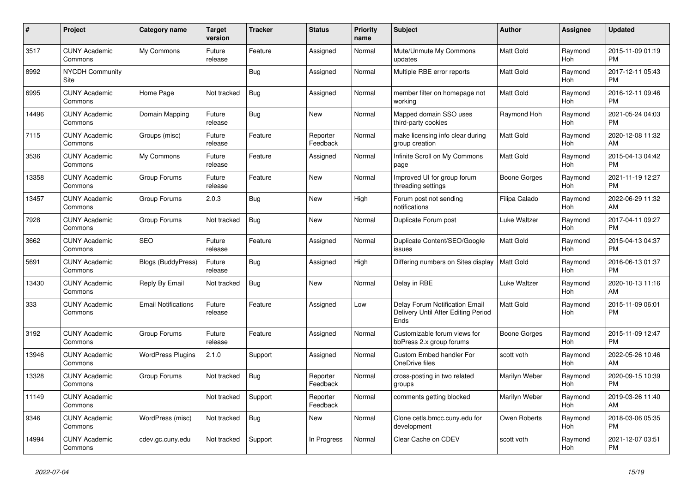| #     | Project                         | <b>Category name</b>       | <b>Target</b><br>version | <b>Tracker</b> | <b>Status</b>        | <b>Priority</b><br>name | <b>Subject</b>                                                                | <b>Author</b>    | Assignee       | <b>Updated</b>                |
|-------|---------------------------------|----------------------------|--------------------------|----------------|----------------------|-------------------------|-------------------------------------------------------------------------------|------------------|----------------|-------------------------------|
| 3517  | <b>CUNY Academic</b><br>Commons | My Commons                 | Future<br>release        | Feature        | Assigned             | Normal                  | Mute/Unmute My Commons<br>updates                                             | <b>Matt Gold</b> | Raymond<br>Hoh | 2015-11-09 01:19<br><b>PM</b> |
| 8992  | <b>NYCDH Community</b><br>Site  |                            |                          | Bug            | Assigned             | Normal                  | Multiple RBE error reports                                                    | <b>Matt Gold</b> | Raymond<br>Hoh | 2017-12-11 05:43<br><b>PM</b> |
| 6995  | <b>CUNY Academic</b><br>Commons | Home Page                  | Not tracked              | Bug            | Assigned             | Normal                  | member filter on homepage not<br>working                                      | <b>Matt Gold</b> | Raymond<br>Hoh | 2016-12-11 09:46<br><b>PM</b> |
| 14496 | <b>CUNY Academic</b><br>Commons | Domain Mapping             | Future<br>release        | Bug            | <b>New</b>           | Normal                  | Mapped domain SSO uses<br>third-party cookies                                 | Raymond Hoh      | Raymond<br>Hoh | 2021-05-24 04:03<br><b>PM</b> |
| 7115  | <b>CUNY Academic</b><br>Commons | Groups (misc)              | Future<br>release        | Feature        | Reporter<br>Feedback | Normal                  | make licensing info clear during<br>group creation                            | <b>Matt Gold</b> | Raymond<br>Hoh | 2020-12-08 11:32<br>AM        |
| 3536  | <b>CUNY Academic</b><br>Commons | My Commons                 | Future<br>release        | Feature        | Assigned             | Normal                  | Infinite Scroll on My Commons<br>page                                         | <b>Matt Gold</b> | Raymond<br>Hoh | 2015-04-13 04:42<br><b>PM</b> |
| 13358 | <b>CUNY Academic</b><br>Commons | Group Forums               | Future<br>release        | Feature        | <b>New</b>           | Normal                  | Improved UI for group forum<br>threading settings                             | Boone Gorges     | Raymond<br>Hoh | 2021-11-19 12:27<br><b>PM</b> |
| 13457 | <b>CUNY Academic</b><br>Commons | Group Forums               | 2.0.3                    | Bug            | <b>New</b>           | High                    | Forum post not sending<br>notifications                                       | Filipa Calado    | Raymond<br>Hoh | 2022-06-29 11:32<br>AM        |
| 7928  | <b>CUNY Academic</b><br>Commons | Group Forums               | Not tracked              | <b>Bug</b>     | <b>New</b>           | Normal                  | Duplicate Forum post                                                          | Luke Waltzer     | Raymond<br>Hoh | 2017-04-11 09:27<br><b>PM</b> |
| 3662  | <b>CUNY Academic</b><br>Commons | <b>SEO</b>                 | Future<br>release        | Feature        | Assigned             | Normal                  | Duplicate Content/SEO/Google<br>issues                                        | <b>Matt Gold</b> | Raymond<br>Hoh | 2015-04-13 04:37<br><b>PM</b> |
| 5691  | <b>CUNY Academic</b><br>Commons | Blogs (BuddyPress)         | Future<br>release        | Bug            | Assigned             | High                    | Differing numbers on Sites display                                            | Matt Gold        | Raymond<br>Hoh | 2016-06-13 01:37<br><b>PM</b> |
| 13430 | <b>CUNY Academic</b><br>Commons | Reply By Email             | Not tracked              | <b>Bug</b>     | <b>New</b>           | Normal                  | Delay in RBE                                                                  | Luke Waltzer     | Raymond<br>Hoh | 2020-10-13 11:16<br><b>AM</b> |
| 333   | <b>CUNY Academic</b><br>Commons | <b>Email Notifications</b> | Future<br>release        | Feature        | Assigned             | Low                     | Delay Forum Notification Email<br>Delivery Until After Editing Period<br>Ends | <b>Matt Gold</b> | Raymond<br>Hoh | 2015-11-09 06:01<br><b>PM</b> |
| 3192  | <b>CUNY Academic</b><br>Commons | Group Forums               | Future<br>release        | Feature        | Assigned             | Normal                  | Customizable forum views for<br>bbPress 2.x group forums                      | Boone Gorges     | Raymond<br>Hoh | 2015-11-09 12:47<br><b>PM</b> |
| 13946 | <b>CUNY Academic</b><br>Commons | <b>WordPress Plugins</b>   | 2.1.0                    | Support        | Assigned             | Normal                  | Custom Embed handler For<br>OneDrive files                                    | scott voth       | Raymond<br>Hoh | 2022-05-26 10:46<br>AM        |
| 13328 | <b>CUNY Academic</b><br>Commons | Group Forums               | Not tracked              | Bug            | Reporter<br>Feedback | Normal                  | cross-posting in two related<br>groups                                        | Marilyn Weber    | Raymond<br>Hoh | 2020-09-15 10:39<br><b>PM</b> |
| 11149 | <b>CUNY Academic</b><br>Commons |                            | Not tracked              | Support        | Reporter<br>Feedback | Normal                  | comments getting blocked                                                      | Marilyn Weber    | Raymond<br>Hoh | 2019-03-26 11:40<br>AM        |
| 9346  | <b>CUNY Academic</b><br>Commons | WordPress (misc)           | Not tracked              | Bug            | <b>New</b>           | Normal                  | Clone cetls.bmcc.cuny.edu for<br>development                                  | Owen Roberts     | Raymond<br>Hoh | 2018-03-06 05:35<br><b>PM</b> |
| 14994 | <b>CUNY Academic</b><br>Commons | cdev.gc.cuny.edu           | Not tracked              | Support        | In Progress          | Normal                  | Clear Cache on CDEV                                                           | scott voth       | Raymond<br>Hoh | 2021-12-07 03:51<br><b>PM</b> |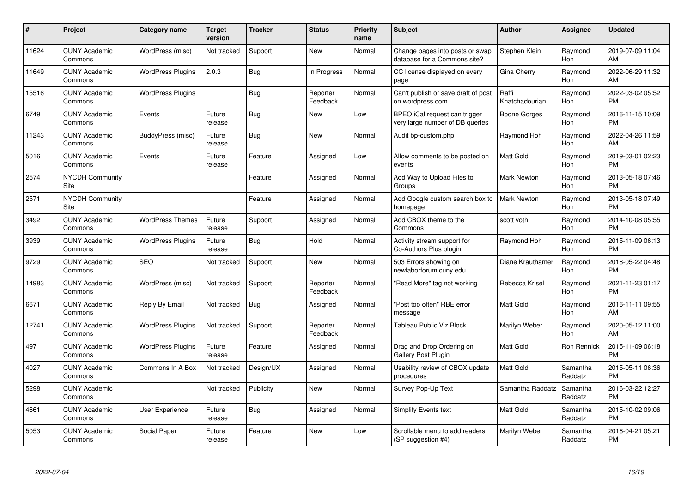| #     | Project                         | <b>Category name</b>     | <b>Target</b><br>version | <b>Tracker</b> | <b>Status</b>        | Priority<br>name | <b>Subject</b>                                                   | <b>Author</b>           | <b>Assignee</b>     | <b>Updated</b>                |
|-------|---------------------------------|--------------------------|--------------------------|----------------|----------------------|------------------|------------------------------------------------------------------|-------------------------|---------------------|-------------------------------|
| 11624 | <b>CUNY Academic</b><br>Commons | WordPress (misc)         | Not tracked              | Support        | <b>New</b>           | Normal           | Change pages into posts or swap<br>database for a Commons site?  | Stephen Klein           | Raymond<br>Hoh      | 2019-07-09 11:04<br>AM        |
| 11649 | <b>CUNY Academic</b><br>Commons | <b>WordPress Plugins</b> | 2.0.3                    | Bug            | In Progress          | Normal           | CC license displayed on every<br>page                            | Gina Cherry             | Raymond<br>Hoh      | 2022-06-29 11:32<br>AM        |
| 15516 | <b>CUNY Academic</b><br>Commons | <b>WordPress Plugins</b> |                          | Bug            | Reporter<br>Feedback | Normal           | Can't publish or save draft of post<br>on wordpress.com          | Raffi<br>Khatchadourian | Raymond<br>Hoh      | 2022-03-02 05:52<br><b>PM</b> |
| 6749  | <b>CUNY Academic</b><br>Commons | Events                   | Future<br>release        | Bug            | New                  | Low              | BPEO iCal request can trigger<br>very large number of DB queries | Boone Gorges            | Raymond<br>Hoh      | 2016-11-15 10:09<br><b>PM</b> |
| 11243 | <b>CUNY Academic</b><br>Commons | BuddyPress (misc)        | Future<br>release        | <b>Bug</b>     | <b>New</b>           | Normal           | Audit bp-custom.php                                              | Raymond Hoh             | Raymond<br>Hoh      | 2022-04-26 11:59<br>AM        |
| 5016  | <b>CUNY Academic</b><br>Commons | Events                   | Future<br>release        | Feature        | Assigned             | Low              | Allow comments to be posted on<br>events                         | <b>Matt Gold</b>        | Raymond<br>Hoh      | 2019-03-01 02:23<br><b>PM</b> |
| 2574  | <b>NYCDH Community</b><br>Site  |                          |                          | Feature        | Assigned             | Normal           | Add Way to Upload Files to<br>Groups                             | Mark Newton             | Raymond<br>Hoh      | 2013-05-18 07:46<br><b>PM</b> |
| 2571  | <b>NYCDH Community</b><br>Site  |                          |                          | Feature        | Assigned             | Normal           | Add Google custom search box to<br>homepage                      | <b>Mark Newton</b>      | Raymond<br>Hoh      | 2013-05-18 07:49<br><b>PM</b> |
| 3492  | <b>CUNY Academic</b><br>Commons | <b>WordPress Themes</b>  | Future<br>release        | Support        | Assigned             | Normal           | Add CBOX theme to the<br>Commons                                 | scott voth              | Raymond<br>Hoh      | 2014-10-08 05:55<br><b>PM</b> |
| 3939  | <b>CUNY Academic</b><br>Commons | <b>WordPress Plugins</b> | Future<br>release        | Bug            | Hold                 | Normal           | Activity stream support for<br>Co-Authors Plus plugin            | Raymond Hoh             | Raymond<br>Hoh      | 2015-11-09 06:13<br><b>PM</b> |
| 9729  | <b>CUNY Academic</b><br>Commons | <b>SEO</b>               | Not tracked              | Support        | New                  | Normal           | 503 Errors showing on<br>newlaborforum.cuny.edu                  | Diane Krauthamer        | Raymond<br>Hoh      | 2018-05-22 04:48<br><b>PM</b> |
| 14983 | <b>CUNY Academic</b><br>Commons | WordPress (misc)         | Not tracked              | Support        | Reporter<br>Feedback | Normal           | "Read More" tag not working                                      | Rebecca Krisel          | Raymond<br>Hoh      | 2021-11-23 01:17<br><b>PM</b> |
| 6671  | <b>CUNY Academic</b><br>Commons | Reply By Email           | Not tracked              | Bug            | Assigned             | Normal           | "Post too often" RBE error<br>message                            | Matt Gold               | Raymond<br>Hoh      | 2016-11-11 09:55<br>AM        |
| 12741 | <b>CUNY Academic</b><br>Commons | <b>WordPress Plugins</b> | Not tracked              | Support        | Reporter<br>Feedback | Normal           | <b>Tableau Public Viz Block</b>                                  | Marilyn Weber           | Raymond<br>Hoh      | 2020-05-12 11:00<br>AM        |
| 497   | <b>CUNY Academic</b><br>Commons | <b>WordPress Plugins</b> | Future<br>release        | Feature        | Assigned             | Normal           | Drag and Drop Ordering on<br><b>Gallery Post Plugin</b>          | Matt Gold               | Ron Rennick         | 2015-11-09 06:18<br><b>PM</b> |
| 4027  | <b>CUNY Academic</b><br>Commons | Commons In A Box         | Not tracked              | Design/UX      | Assigned             | Normal           | Usability review of CBOX update<br>procedures                    | <b>Matt Gold</b>        | Samantha<br>Raddatz | 2015-05-11 06:36<br><b>PM</b> |
| 5298  | <b>CUNY Academic</b><br>Commons |                          | Not tracked              | Publicity      | New                  | Normal           | Survey Pop-Up Text                                               | Samantha Raddatz        | Samantha<br>Raddatz | 2016-03-22 12:27<br><b>PM</b> |
| 4661  | <b>CUNY Academic</b><br>Commons | User Experience          | Future<br>release        | Bug            | Assigned             | Normal           | <b>Simplify Events text</b>                                      | <b>Matt Gold</b>        | Samantha<br>Raddatz | 2015-10-02 09:06<br><b>PM</b> |
| 5053  | <b>CUNY Academic</b><br>Commons | Social Paper             | Future<br>release        | Feature        | <b>New</b>           | Low              | Scrollable menu to add readers<br>(SP suggestion #4)             | Marilyn Weber           | Samantha<br>Raddatz | 2016-04-21 05:21<br><b>PM</b> |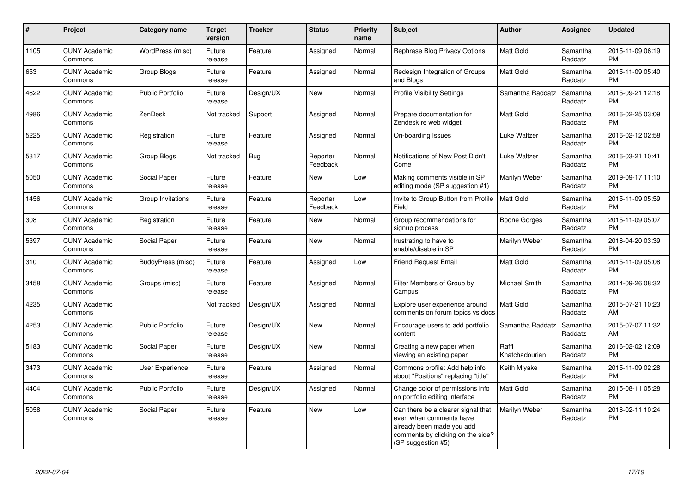| $\pmb{\#}$ | Project                         | <b>Category name</b>    | <b>Target</b><br>version | <b>Tracker</b> | <b>Status</b>        | <b>Priority</b><br>name | <b>Subject</b>                                                                                                                                        | <b>Author</b>           | <b>Assignee</b>     | <b>Updated</b>                |
|------------|---------------------------------|-------------------------|--------------------------|----------------|----------------------|-------------------------|-------------------------------------------------------------------------------------------------------------------------------------------------------|-------------------------|---------------------|-------------------------------|
| 1105       | <b>CUNY Academic</b><br>Commons | WordPress (misc)        | Future<br>release        | Feature        | Assigned             | Normal                  | Rephrase Blog Privacy Options                                                                                                                         | <b>Matt Gold</b>        | Samantha<br>Raddatz | 2015-11-09 06:19<br><b>PM</b> |
| 653        | <b>CUNY Academic</b><br>Commons | Group Blogs             | Future<br>release        | Feature        | Assigned             | Normal                  | Redesign Integration of Groups<br>and Blogs                                                                                                           | Matt Gold               | Samantha<br>Raddatz | 2015-11-09 05:40<br><b>PM</b> |
| 4622       | <b>CUNY Academic</b><br>Commons | <b>Public Portfolio</b> | Future<br>release        | Design/UX      | New                  | Normal                  | <b>Profile Visibility Settings</b>                                                                                                                    | Samantha Raddatz        | Samantha<br>Raddatz | 2015-09-21 12:18<br><b>PM</b> |
| 4986       | <b>CUNY Academic</b><br>Commons | ZenDesk                 | Not tracked              | Support        | Assigned             | Normal                  | Prepare documentation for<br>Zendesk re web widget                                                                                                    | Matt Gold               | Samantha<br>Raddatz | 2016-02-25 03:09<br><b>PM</b> |
| 5225       | <b>CUNY Academic</b><br>Commons | Registration            | Future<br>release        | Feature        | Assigned             | Normal                  | On-boarding Issues                                                                                                                                    | Luke Waltzer            | Samantha<br>Raddatz | 2016-02-12 02:58<br><b>PM</b> |
| 5317       | <b>CUNY Academic</b><br>Commons | Group Blogs             | Not tracked              | Bug            | Reporter<br>Feedback | Normal                  | Notifications of New Post Didn't<br>Come                                                                                                              | Luke Waltzer            | Samantha<br>Raddatz | 2016-03-21 10:41<br><b>PM</b> |
| 5050       | <b>CUNY Academic</b><br>Commons | Social Paper            | Future<br>release        | Feature        | New                  | Low                     | Making comments visible in SP<br>editing mode (SP suggestion #1)                                                                                      | Marilyn Weber           | Samantha<br>Raddatz | 2019-09-17 11:10<br><b>PM</b> |
| 1456       | <b>CUNY Academic</b><br>Commons | Group Invitations       | Future<br>release        | Feature        | Reporter<br>Feedback | Low                     | Invite to Group Button from Profile<br>Field                                                                                                          | <b>Matt Gold</b>        | Samantha<br>Raddatz | 2015-11-09 05:59<br><b>PM</b> |
| 308        | <b>CUNY Academic</b><br>Commons | Registration            | Future<br>release        | Feature        | <b>New</b>           | Normal                  | Group recommendations for<br>signup process                                                                                                           | Boone Gorges            | Samantha<br>Raddatz | 2015-11-09 05:07<br><b>PM</b> |
| 5397       | <b>CUNY Academic</b><br>Commons | Social Paper            | Future<br>release        | Feature        | <b>New</b>           | Normal                  | frustrating to have to<br>enable/disable in SP                                                                                                        | Marilyn Weber           | Samantha<br>Raddatz | 2016-04-20 03:39<br><b>PM</b> |
| 310        | <b>CUNY Academic</b><br>Commons | BuddyPress (misc)       | Future<br>release        | Feature        | Assigned             | Low                     | <b>Friend Request Email</b>                                                                                                                           | Matt Gold               | Samantha<br>Raddatz | 2015-11-09 05:08<br><b>PM</b> |
| 3458       | <b>CUNY Academic</b><br>Commons | Groups (misc)           | Future<br>release        | Feature        | Assigned             | Normal                  | Filter Members of Group by<br>Campus                                                                                                                  | Michael Smith           | Samantha<br>Raddatz | 2014-09-26 08:32<br><b>PM</b> |
| 4235       | <b>CUNY Academic</b><br>Commons |                         | Not tracked              | Design/UX      | Assigned             | Normal                  | Explore user experience around<br>comments on forum topics vs docs                                                                                    | <b>Matt Gold</b>        | Samantha<br>Raddatz | 2015-07-21 10:23<br>AM        |
| 4253       | <b>CUNY Academic</b><br>Commons | <b>Public Portfolio</b> | Future<br>release        | Design/UX      | New                  | Normal                  | Encourage users to add portfolio<br>content                                                                                                           | Samantha Raddatz        | Samantha<br>Raddatz | 2015-07-07 11:32<br>AM        |
| 5183       | <b>CUNY Academic</b><br>Commons | Social Paper            | Future<br>release        | Design/UX      | <b>New</b>           | Normal                  | Creating a new paper when<br>viewing an existing paper                                                                                                | Raffi<br>Khatchadourian | Samantha<br>Raddatz | 2016-02-02 12:09<br><b>PM</b> |
| 3473       | <b>CUNY Academic</b><br>Commons | User Experience         | Future<br>release        | Feature        | Assigned             | Normal                  | Commons profile: Add help info<br>about "Positions" replacing "title"                                                                                 | Keith Miyake            | Samantha<br>Raddatz | 2015-11-09 02:28<br><b>PM</b> |
| 4404       | <b>CUNY Academic</b><br>Commons | <b>Public Portfolio</b> | Future<br>release        | Design/UX      | Assigned             | Normal                  | Change color of permissions info<br>on portfolio editing interface                                                                                    | Matt Gold               | Samantha<br>Raddatz | 2015-08-11 05:28<br><b>PM</b> |
| 5058       | <b>CUNY Academic</b><br>Commons | Social Paper            | Future<br>release        | Feature        | New                  | Low                     | Can there be a clearer signal that<br>even when comments have<br>already been made you add<br>comments by clicking on the side?<br>(SP suggestion #5) | Marilyn Weber           | Samantha<br>Raddatz | 2016-02-11 10:24<br><b>PM</b> |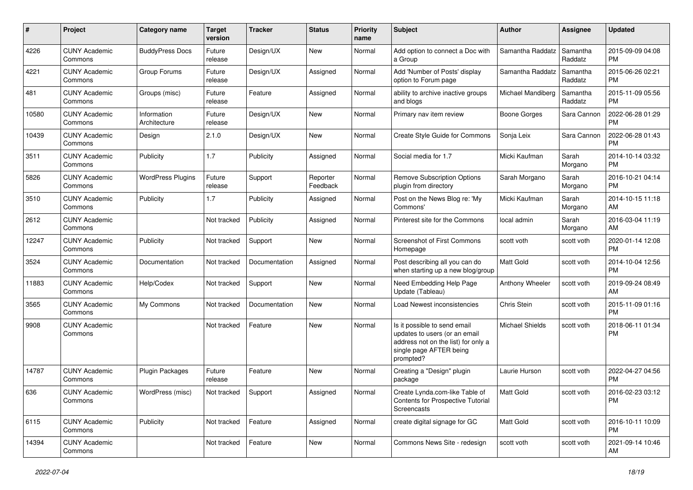| #     | Project                         | <b>Category name</b>        | <b>Target</b><br>version | <b>Tracker</b> | <b>Status</b>        | <b>Priority</b><br>name | <b>Subject</b>                                                                                                                               | Author                 | Assignee            | <b>Updated</b>                |
|-------|---------------------------------|-----------------------------|--------------------------|----------------|----------------------|-------------------------|----------------------------------------------------------------------------------------------------------------------------------------------|------------------------|---------------------|-------------------------------|
| 4226  | <b>CUNY Academic</b><br>Commons | <b>BuddyPress Docs</b>      | Future<br>release        | Design/UX      | New                  | Normal                  | Add option to connect a Doc with<br>a Group                                                                                                  | Samantha Raddatz       | Samantha<br>Raddatz | 2015-09-09 04:08<br><b>PM</b> |
| 4221  | <b>CUNY Academic</b><br>Commons | Group Forums                | Future<br>release        | Design/UX      | Assigned             | Normal                  | Add 'Number of Posts' display<br>option to Forum page                                                                                        | Samantha Raddatz       | Samantha<br>Raddatz | 2015-06-26 02:21<br><b>PM</b> |
| 481   | <b>CUNY Academic</b><br>Commons | Groups (misc)               | Future<br>release        | Feature        | Assigned             | Normal                  | ability to archive inactive groups<br>and blogs                                                                                              | Michael Mandiberg      | Samantha<br>Raddatz | 2015-11-09 05:56<br><b>PM</b> |
| 10580 | <b>CUNY Academic</b><br>Commons | Information<br>Architecture | Future<br>release        | Design/UX      | New                  | Normal                  | Primary nav item review                                                                                                                      | Boone Gorges           | Sara Cannon         | 2022-06-28 01:29<br><b>PM</b> |
| 10439 | <b>CUNY Academic</b><br>Commons | Design                      | 2.1.0                    | Design/UX      | New                  | Normal                  | Create Style Guide for Commons                                                                                                               | Sonja Leix             | Sara Cannon         | 2022-06-28 01:43<br><b>PM</b> |
| 3511  | <b>CUNY Academic</b><br>Commons | Publicity                   | 1.7                      | Publicity      | Assigned             | Normal                  | Social media for 1.7                                                                                                                         | Micki Kaufman          | Sarah<br>Morgano    | 2014-10-14 03:32<br><b>PM</b> |
| 5826  | <b>CUNY Academic</b><br>Commons | <b>WordPress Plugins</b>    | Future<br>release        | Support        | Reporter<br>Feedback | Normal                  | Remove Subscription Options<br>plugin from directory                                                                                         | Sarah Morgano          | Sarah<br>Morgano    | 2016-10-21 04:14<br><b>PM</b> |
| 3510  | <b>CUNY Academic</b><br>Commons | Publicity                   | 1.7                      | Publicity      | Assigned             | Normal                  | Post on the News Blog re: 'My<br>Commons'                                                                                                    | Micki Kaufman          | Sarah<br>Morgano    | 2014-10-15 11:18<br>AM        |
| 2612  | <b>CUNY Academic</b><br>Commons |                             | Not tracked              | Publicity      | Assigned             | Normal                  | Pinterest site for the Commons                                                                                                               | local admin            | Sarah<br>Morgano    | 2016-03-04 11:19<br>AM        |
| 12247 | <b>CUNY Academic</b><br>Commons | Publicity                   | Not tracked              | Support        | New                  | Normal                  | <b>Screenshot of First Commons</b><br>Homepage                                                                                               | scott voth             | scott voth          | 2020-01-14 12:08<br><b>PM</b> |
| 3524  | <b>CUNY Academic</b><br>Commons | Documentation               | Not tracked              | Documentation  | Assigned             | Normal                  | Post describing all you can do<br>when starting up a new blog/group                                                                          | <b>Matt Gold</b>       | scott voth          | 2014-10-04 12:56<br><b>PM</b> |
| 11883 | <b>CUNY Academic</b><br>Commons | Help/Codex                  | Not tracked              | Support        | New                  | Normal                  | Need Embedding Help Page<br>Update (Tableau)                                                                                                 | Anthony Wheeler        | scott voth          | 2019-09-24 08:49<br>AM        |
| 3565  | <b>CUNY Academic</b><br>Commons | My Commons                  | Not tracked              | Documentation  | New                  | Normal                  | Load Newest inconsistencies                                                                                                                  | Chris Stein            | scott voth          | 2015-11-09 01:16<br><b>PM</b> |
| 9908  | <b>CUNY Academic</b><br>Commons |                             | Not tracked              | Feature        | New                  | Normal                  | Is it possible to send email<br>updates to users (or an email<br>address not on the list) for only a<br>single page AFTER being<br>prompted? | <b>Michael Shields</b> | scott voth          | 2018-06-11 01:34<br><b>PM</b> |
| 14787 | <b>CUNY Academic</b><br>Commons | Plugin Packages             | Future<br>release        | Feature        | New                  | Normal                  | Creating a "Design" plugin<br>package                                                                                                        | Laurie Hurson          | scott voth          | 2022-04-27 04:56<br><b>PM</b> |
| 636   | <b>CUNY Academic</b><br>Commons | WordPress (misc)            | Not tracked Support      |                | Assigned             | Normal                  | Create Lynda.com-like Table of<br><b>Contents for Prospective Tutorial</b><br>Screencasts                                                    | Matt Gold              | scott voth          | 2016-02-23 03:12<br><b>PM</b> |
| 6115  | <b>CUNY Academic</b><br>Commons | Publicity                   | Not tracked              | Feature        | Assigned             | Normal                  | create digital signage for GC                                                                                                                | Matt Gold              | scott voth          | 2016-10-11 10:09<br><b>PM</b> |
| 14394 | <b>CUNY Academic</b><br>Commons |                             | Not tracked              | Feature        | New                  | Normal                  | Commons News Site - redesign                                                                                                                 | scott voth             | scott voth          | 2021-09-14 10:46<br>AM        |